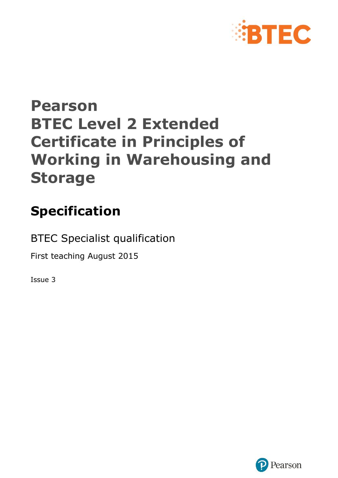

# **Pearson BTEC Level 2 Extended Certificate in Principles of Working in Warehousing and Storage**

# **Specification**

BTEC Specialist qualification

First teaching August 2015

Issue 3

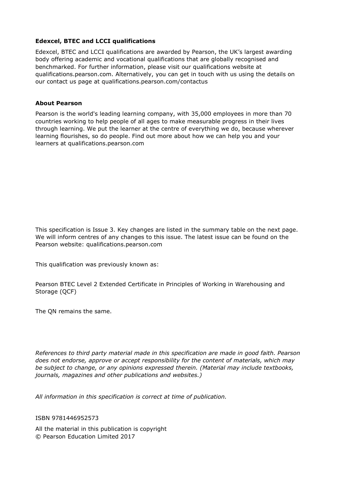#### **Edexcel, BTEC and LCCI qualifications**

Edexcel, BTEC and LCCI qualifications are awarded by Pearson, the UK's largest awarding body offering academic and vocational qualifications that are globally recognised and benchmarked. For further information, please visit our qualifications website at qualifications.pearson.com. Alternatively, you can get in touch with us using the details on our contact us page at qualifications.pearson.com/contactus

#### **About Pearson**

Pearson is the world's leading learning company, with 35,000 employees in more than 70 countries working to help people of all ages to make measurable progress in their lives through learning. We put the learner at the centre of everything we do, because wherever learning flourishes, so do people. Find out more about how we can help you and your learners at qualifications.pearson.com

This specification is Issue 3. Key changes are listed in the summary table on the next page. We will inform centres of any changes to this issue. The latest issue can be found on the Pearson website: qualifications.pearson.com

This qualification was previously known as:

Pearson BTEC Level 2 Extended Certificate in Principles of Working in Warehousing and Storage (QCF)

The QN remains the same.

*References to third party material made in this specification are made in good faith. Pearson does not endorse, approve or accept responsibility for the content of materials, which may be subject to change, or any opinions expressed therein. (Material may include textbooks, journals, magazines and other publications and websites.)*

*All information in this specification is correct at time of publication.*

#### ISBN 9781446952573

All the material in this publication is copyright © Pearson Education Limited 2017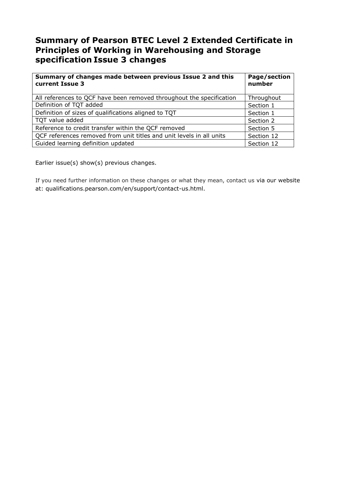## **Summary of Pearson BTEC Level 2 Extended Certificate in Principles of Working in Warehousing and Storage specification Issue 3 changes**

| Summary of changes made between previous Issue 2 and this<br>current Issue 3 | Page/section<br>number |
|------------------------------------------------------------------------------|------------------------|
| All references to QCF have been removed throughout the specification         | Throughout             |
| Definition of TQT added                                                      | Section 1              |
| Definition of sizes of qualifications aligned to TQT                         | Section 1              |
| TQT value added                                                              | Section 2              |
| Reference to credit transfer within the QCF removed                          | Section 5              |
| QCF references removed from unit titles and unit levels in all units         | Section 12             |
| Guided learning definition updated                                           | Section 12             |

Earlier issue(s) show(s) previous changes.

If you need further information on these changes or what they mean, contact us via our website at: qualifications.pearson.com/en/support/contact-us.html.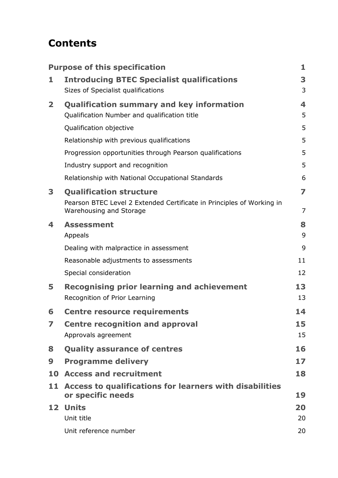## **Contents**

|                         | <b>Purpose of this specification</b>                                                             | 1              |
|-------------------------|--------------------------------------------------------------------------------------------------|----------------|
| 1                       | <b>Introducing BTEC Specialist qualifications</b>                                                | 3              |
|                         | Sizes of Specialist qualifications                                                               | 3              |
| $\overline{\mathbf{2}}$ | <b>Qualification summary and key information</b>                                                 | 4              |
|                         | Qualification Number and qualification title                                                     | 5              |
|                         | Qualification objective                                                                          | 5              |
|                         | Relationship with previous qualifications                                                        | 5              |
|                         | Progression opportunities through Pearson qualifications                                         | 5              |
|                         | Industry support and recognition                                                                 | 5              |
|                         | Relationship with National Occupational Standards                                                | 6              |
| 3                       | <b>Qualification structure</b>                                                                   | $\overline{ }$ |
|                         | Pearson BTEC Level 2 Extended Certificate in Principles of Working in<br>Warehousing and Storage | $\overline{7}$ |
| 4                       | <b>Assessment</b>                                                                                | 8              |
|                         | Appeals                                                                                          | 9              |
|                         | Dealing with malpractice in assessment                                                           | 9              |
|                         | Reasonable adjustments to assessments                                                            | 11             |
|                         | Special consideration                                                                            | 12             |
| 5                       | <b>Recognising prior learning and achievement</b><br>Recognition of Prior Learning               | 13<br>13       |
| 6                       | <b>Centre resource requirements</b>                                                              | 14             |
| 7                       | <b>Centre recognition and approval</b>                                                           | 15             |
|                         | Approvals agreement                                                                              | 15             |
| 8                       | <b>Quality assurance of centres</b>                                                              | 16             |
| 9                       | <b>Programme delivery</b>                                                                        | 17             |
| 10                      | <b>Access and recruitment</b>                                                                    | 18             |
| 11                      | Access to qualifications for learners with disabilities<br>or specific needs                     | 19             |
| 12 <sub>1</sub>         | <b>Units</b>                                                                                     | 20             |
|                         | Unit title                                                                                       | 20             |
|                         | Unit reference number                                                                            | 20             |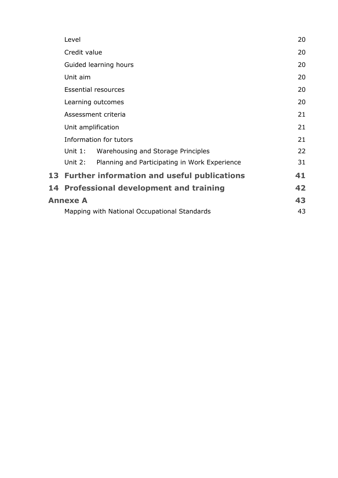| Level                                                |                                               | 20 |  |  |  |  |  |
|------------------------------------------------------|-----------------------------------------------|----|--|--|--|--|--|
| Credit value                                         | 20                                            |    |  |  |  |  |  |
|                                                      | Guided learning hours                         | 20 |  |  |  |  |  |
| Unit aim                                             |                                               | 20 |  |  |  |  |  |
|                                                      | <b>Essential resources</b>                    | 20 |  |  |  |  |  |
|                                                      | Learning outcomes                             | 20 |  |  |  |  |  |
| Assessment criteria                                  |                                               |    |  |  |  |  |  |
| Unit amplification                                   |                                               |    |  |  |  |  |  |
| Information for tutors                               |                                               |    |  |  |  |  |  |
| Unit $1:$                                            | Warehousing and Storage Principles            | 22 |  |  |  |  |  |
| Unit $2:$                                            | Planning and Participating in Work Experience | 31 |  |  |  |  |  |
| 13 Further information and useful publications<br>41 |                                               |    |  |  |  |  |  |
| 14 Professional development and training<br>42       |                                               |    |  |  |  |  |  |
| <b>Annexe A</b>                                      |                                               | 43 |  |  |  |  |  |
| 43<br>Mapping with National Occupational Standards   |                                               |    |  |  |  |  |  |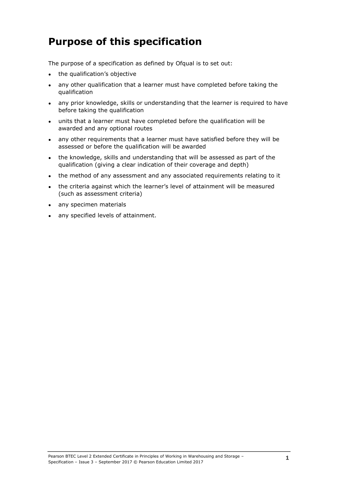## <span id="page-5-0"></span>**Purpose of this specification**

The purpose of a specification as defined by Ofqual is to set out:

- the qualification's objective
- any other qualification that a learner must have completed before taking the qualification
- any prior knowledge, skills or understanding that the learner is required to have before taking the qualification
- units that a learner must have completed before the qualification will be awarded and any optional routes
- any other requirements that a learner must have satisfied before they will be assessed or before the qualification will be awarded
- the knowledge, skills and understanding that will be assessed as part of the qualification (giving a clear indication of their coverage and depth)
- the method of any assessment and any associated requirements relating to it
- the criteria against which the learner's level of attainment will be measured (such as assessment criteria)
- any specimen materials
- any specified levels of attainment.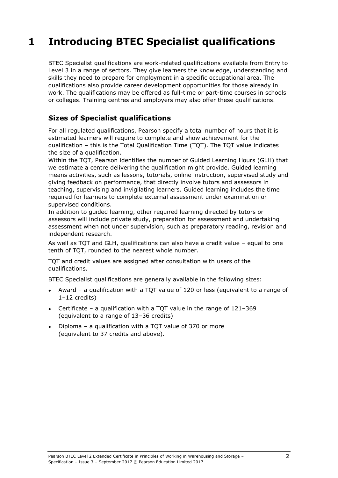## <span id="page-7-0"></span>**1 Introducing BTEC Specialist qualifications**

BTEC Specialist qualifications are work-related qualifications available from Entry to Level 3 in a range of sectors. They give learners the knowledge, understanding and skills they need to prepare for employment in a specific occupational area. The qualifications also provide career development opportunities for those already in work. The qualifications may be offered as full-time or part-time courses in schools or colleges. Training centres and employers may also offer these qualifications.

### <span id="page-7-1"></span>**Sizes of Specialist qualifications**

For all regulated qualifications, Pearson specify a total number of hours that it is estimated learners will require to complete and show achievement for the qualification – this is the Total Qualification Time (TQT). The TQT value indicates the size of a qualification.

Within the TQT, Pearson identifies the number of Guided Learning Hours (GLH) that we estimate a centre delivering the qualification might provide. Guided learning means activities, such as lessons, tutorials, online instruction, supervised study and giving feedback on performance, that directly involve tutors and assessors in teaching, supervising and invigilating learners. Guided learning includes the time required for learners to complete external assessment under examination or supervised conditions.

In addition to guided learning, other required learning directed by tutors or assessors will include private study, preparation for assessment and undertaking assessment when not under supervision, such as preparatory reading, revision and independent research.

As well as TQT and GLH, qualifications can also have a credit value – equal to one tenth of TQT, rounded to the nearest whole number.

TQT and credit values are assigned after consultation with users of the qualifications.

BTEC Specialist qualifications are generally available in the following sizes:

- Award a qualification with a TQT value of 120 or less (equivalent to a range of 1–12 credits)
- Certificate a qualification with a TQT value in the range of  $121-369$ (equivalent to a range of 13–36 credits)
- Diploma a qualification with a TQT value of 370 or more (equivalent to 37 credits and above).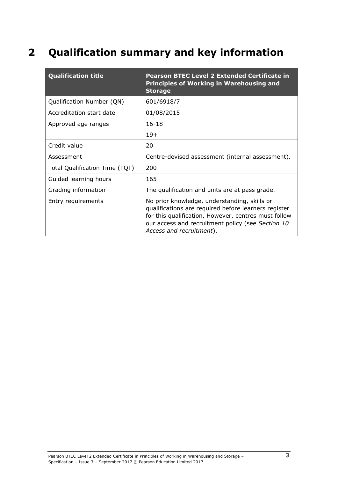## <span id="page-8-0"></span>**2 Qualification summary and key information**

| <b>Qualification title</b>     | <b>Pearson BTEC Level 2 Extended Certificate in</b><br><b>Principles of Working in Warehousing and</b><br><b>Storage</b>                                                                                                                      |
|--------------------------------|-----------------------------------------------------------------------------------------------------------------------------------------------------------------------------------------------------------------------------------------------|
| Qualification Number (QN)      | 601/6918/7                                                                                                                                                                                                                                    |
| Accreditation start date       | 01/08/2015                                                                                                                                                                                                                                    |
| Approved age ranges            | $16 - 18$                                                                                                                                                                                                                                     |
|                                | $19+$                                                                                                                                                                                                                                         |
| Credit value                   | 20                                                                                                                                                                                                                                            |
| Assessment                     | Centre-devised assessment (internal assessment).                                                                                                                                                                                              |
| Total Qualification Time (TQT) | 200                                                                                                                                                                                                                                           |
| Guided learning hours          | 165                                                                                                                                                                                                                                           |
| Grading information            | The qualification and units are at pass grade.                                                                                                                                                                                                |
| Entry requirements             | No prior knowledge, understanding, skills or<br>qualifications are required before learners register<br>for this qualification. However, centres must follow<br>our access and recruitment policy (see Section 10<br>Access and recruitment). |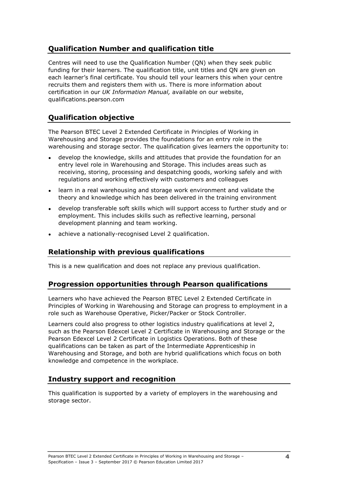## <span id="page-9-0"></span>**Qualification Number and qualification title**

Centres will need to use the Qualification Number (QN) when they seek public funding for their learners. The qualification title, unit titles and QN are given on each learner's final certificate. You should tell your learners this when your centre recruits them and registers them with us. There is more information about certification in our *UK Information Manual,* available on our website, qualifications.pearson.com

## <span id="page-9-1"></span>**Qualification objective**

The Pearson BTEC Level 2 Extended Certificate in Principles of Working in Warehousing and Storage provides the foundations for an entry role in the warehousing and storage sector. The qualification gives learners the opportunity to:

- develop the knowledge, skills and attitudes that provide the foundation for an entry level role in Warehousing and Storage. This includes areas such as receiving, storing, processing and despatching goods, working safely and with regulations and working effectively with customers and colleagues
- learn in a real warehousing and storage work environment and validate the theory and knowledge which has been delivered in the training environment
- develop transferable soft skills which will support access to further study and or employment. This includes skills such as reflective learning, personal development planning and team working.
- <span id="page-9-2"></span>achieve a nationally-recognised Level 2 qualification.

#### **Relationship with previous qualifications**

<span id="page-9-3"></span>This is a new qualification and does not replace any previous qualification.

#### **Progression opportunities through Pearson qualifications**

Learners who have achieved the Pearson BTEC Level 2 Extended Certificate in Principles of Working in Warehousing and Storage can progress to employment in a role such as Warehouse Operative, Picker/Packer or Stock Controller.

Learners could also progress to other logistics industry qualifications at level 2, such as the Pearson Edexcel Level 2 Certificate in Warehousing and Storage or the Pearson Edexcel Level 2 Certificate in Logistics Operations. Both of these qualifications can be taken as part of the Intermediate Apprenticeship in Warehousing and Storage, and both are hybrid qualifications which focus on both knowledge and competence in the workplace.

#### <span id="page-9-4"></span>**Industry support and recognition**

This qualification is supported by a variety of employers in the warehousing and storage sector.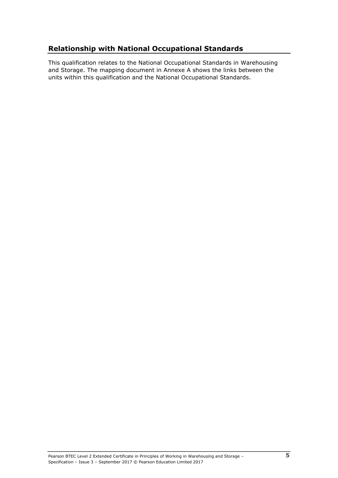### <span id="page-10-0"></span>**Relationship with National Occupational Standards**

This qualification relates to the National Occupational Standards in Warehousing and Storage. The mapping document in Annexe A shows the links between the units within this qualification and the National Occupational Standards.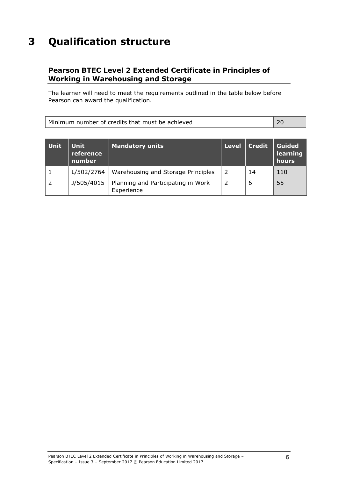## <span id="page-11-0"></span>**3 Qualification structure**

### <span id="page-11-1"></span>**Pearson BTEC Level 2 Extended Certificate in Principles of Working in Warehousing and Storage**

The learner will need to meet the requirements outlined in the table below before Pearson can award the qualification.

| Minimum number of credits that must be achieved |  |
|-------------------------------------------------|--|
|                                                 |  |

| <b>Unit</b> | <b>Unit</b><br>reference<br>number | Mandatory units                                  | Level | <b>Credit</b> | <b>Guided</b><br>learning<br>hours |
|-------------|------------------------------------|--------------------------------------------------|-------|---------------|------------------------------------|
|             | L/502/2764                         | Warehousing and Storage Principles               | 2     | 14            | 110                                |
|             | J/505/4015                         | Planning and Participating in Work<br>Experience | 2     | 6             | 55                                 |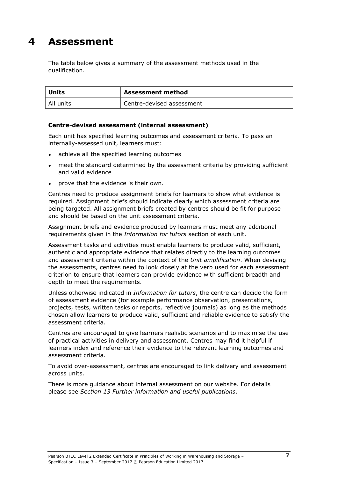## <span id="page-12-0"></span>**4 Assessment**

The table below gives a summary of the assessment methods used in the qualification.

| Units     | <b>Assessment method</b>  |  |
|-----------|---------------------------|--|
| All units | Centre-devised assessment |  |

#### **Centre-devised assessment (internal assessment)**

Each unit has specified learning outcomes and assessment criteria. To pass an internally-assessed unit, learners must:

- achieve all the specified learning outcomes
- meet the standard determined by the assessment criteria by providing sufficient and valid evidence
- prove that the evidence is their own.

Centres need to produce assignment briefs for learners to show what evidence is required. Assignment briefs should indicate clearly which assessment criteria are being targeted. All assignment briefs created by centres should be fit for purpose and should be based on the unit assessment criteria.

Assignment briefs and evidence produced by learners must meet any additional requirements given in the *Information for tutors* section of each unit.

Assessment tasks and activities must enable learners to produce valid, sufficient, authentic and appropriate evidence that relates directly to the learning outcomes and assessment criteria within the context of the *Unit amplification*. When devising the assessments, centres need to look closely at the verb used for each assessment criterion to ensure that learners can provide evidence with sufficient breadth and depth to meet the requirements.

Unless otherwise indicated in *Information for tutors*, the centre can decide the form of assessment evidence (for example performance observation, presentations, projects, tests, written tasks or reports, reflective journals) as long as the methods chosen allow learners to produce valid, sufficient and reliable evidence to satisfy the assessment criteria.

Centres are encouraged to give learners realistic scenarios and to maximise the use of practical activities in delivery and assessment. Centres may find it helpful if learners index and reference their evidence to the relevant learning outcomes and assessment criteria.

To avoid over-assessment, centres are encouraged to link delivery and assessment across units.

There is more guidance about internal assessment on our website. For details please see *Section 13 Further information and useful publications*.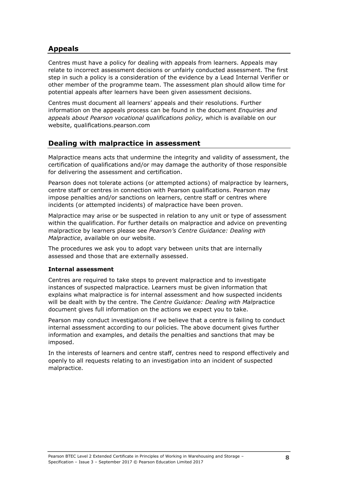### <span id="page-13-0"></span>**Appeals**

Centres must have a policy for dealing with appeals from learners. Appeals may relate to incorrect assessment decisions or unfairly conducted assessment. The first step in such a policy is a consideration of the evidence by a Lead Internal Verifier or other member of the programme team. The assessment plan should allow time for potential appeals after learners have been given assessment decisions.

Centres must document all learners' appeals and their resolutions. Further information on the appeals process can be found in the document *Enquiries and appeals about Pearson vocational qualifications policy,* which is available on our website, qualifications.pearson.com

#### <span id="page-13-1"></span>**Dealing with malpractice in assessment**

Malpractice means acts that undermine the integrity and validity of assessment, the certification of qualifications and/or may damage the authority of those responsible for delivering the assessment and certification.

Pearson does not tolerate actions (or attempted actions) of malpractice by learners, centre staff or centres in connection with Pearson qualifications. Pearson may impose penalties and/or sanctions on learners, centre staff or centres where incidents (or attempted incidents) of malpractice have been proven.

Malpractice may arise or be suspected in relation to any unit or type of assessment within the qualification. For further details on malpractice and advice on preventing malpractice by learners please see *Pearson's Centre Guidance: Dealing with Malpractice*, available on our website.

The procedures we ask you to adopt vary between units that are internally assessed and those that are externally assessed.

#### **Internal assessment**

Centres are required to take steps to prevent malpractice and to investigate instances of suspected malpractice. Learners must be given information that explains what malpractice is for internal assessment and how suspected incidents will be dealt with by the centre. The *Centre Guidance: Dealing with Mal*practice document gives full information on the actions we expect you to take.

Pearson may conduct investigations if we believe that a centre is failing to conduct internal assessment according to our policies. The above document gives further information and examples, and details the penalties and sanctions that may be imposed.

In the interests of learners and centre staff, centres need to respond effectively and openly to all requests relating to an investigation into an incident of suspected malpractice.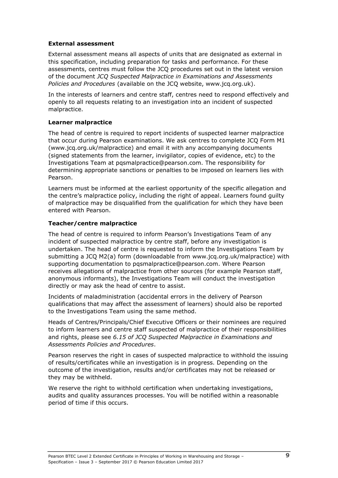#### **External assessment**

External assessment means all aspects of units that are designated as external in this specification, including preparation for tasks and performance. For these assessments, centres must follow the JCQ procedures set out in the latest version of the document *JCQ Suspected Malpractice in Examinations and Assessments Policies and Procedures* (available on the JCQ website, www.jcq.org.uk).

In the interests of learners and centre staff, centres need to respond effectively and openly to all requests relating to an investigation into an incident of suspected malpractice.

#### **Learner malpractice**

The head of centre is required to report incidents of suspected learner malpractice that occur during Pearson examinations. We ask centres to complete JCQ Form M1 (www.jcq.org.uk/malpractice) and email it with any accompanying documents (signed statements from the learner, invigilator, copies of evidence, etc) to the Investigations Team at pqsmalpractice@pearson.com. The responsibility for determining appropriate sanctions or penalties to be imposed on learners lies with Pearson.

Learners must be informed at the earliest opportunity of the specific allegation and the centre's malpractice policy, including the right of appeal. Learners found guilty of malpractice may be disqualified from the qualification for which they have been entered with Pearson.

#### **Teacher/centre malpractice**

The head of centre is required to inform Pearson's Investigations Team of any incident of suspected malpractice by centre staff, before any investigation is undertaken. The head of centre is requested to inform the Investigations Team by submitting a JCQ M2(a) form (downloadable from www.jcq.org.uk/malpractice) with supporting documentation to pqsmalpractice@pearson.com. Where Pearson receives allegations of malpractice from other sources (for example Pearson staff, anonymous informants), the Investigations Team will conduct the investigation directly or may ask the head of centre to assist.

Incidents of maladministration (accidental errors in the delivery of Pearson qualifications that may affect the assessment of learners) should also be reported to the Investigations Team using the same method.

Heads of Centres/Principals/Chief Executive Officers or their nominees are required to inform learners and centre staff suspected of malpractice of their responsibilities and rights, please see *6.15 of JCQ Suspected Malpractice in Examinations and Assessments Policies and Procedures*.

Pearson reserves the right in cases of suspected malpractice to withhold the issuing of results/certificates while an investigation is in progress. Depending on the outcome of the investigation, results and/or certificates may not be released or they may be withheld.

We reserve the right to withhold certification when undertaking investigations, audits and quality assurances processes. You will be notified within a reasonable period of time if this occurs.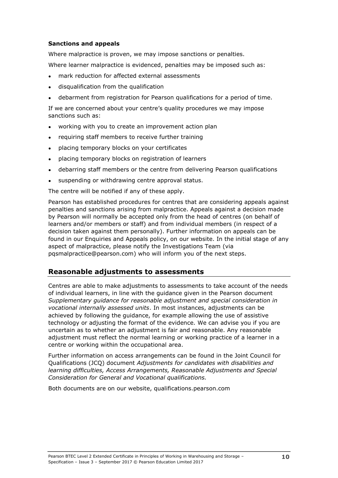#### **Sanctions and appeals**

Where malpractice is proven, we may impose sanctions or penalties.

Where learner malpractice is evidenced, penalties may be imposed such as:

- mark reduction for affected external assessments
- disqualification from the qualification
- debarment from registration for Pearson qualifications for a period of time.

If we are concerned about your centre's quality procedures we may impose sanctions such as:

- working with you to create an improvement action plan
- requiring staff members to receive further training
- placing temporary blocks on your certificates
- placing temporary blocks on registration of learners
- debarring staff members or the centre from delivering Pearson qualifications
- suspending or withdrawing centre approval status.

The centre will be notified if any of these apply.

Pearson has established procedures for centres that are considering appeals against penalties and sanctions arising from malpractice. Appeals against a decision made by Pearson will normally be accepted only from the head of centres (on behalf of learners and/or members or staff) and from individual members (in respect of a decision taken against them personally). Further information on appeals can be found in our Enquiries and Appeals policy, on our website. In the initial stage of any aspect of malpractice, please notify the Investigations Team (via pqsmalpractice@pearson.com) who will inform you of the next steps.

#### <span id="page-15-0"></span>**Reasonable adjustments to assessments**

Centres are able to make adjustments to assessments to take account of the needs of individual learners, in line with the guidance given in the Pearson document *Supplementary guidance for reasonable adjustment and special consideration in vocational internally assessed units*. In most instances, adjustments can be achieved by following the guidance, for example allowing the use of assistive technology or adjusting the format of the evidence. We can advise you if you are uncertain as to whether an adjustment is fair and reasonable. Any reasonable adjustment must reflect the normal learning or working practice of a learner in a centre or working within the occupational area.

Further information on access arrangements can be found in the Joint Council for Qualifications (JCQ) document *Adjustments for candidates with disabilities and learning difficulties, Access Arrangements, Reasonable Adjustments and Special Consideration for General and Vocational qualifications.*

Both documents are on our website, qualifications.pearson.com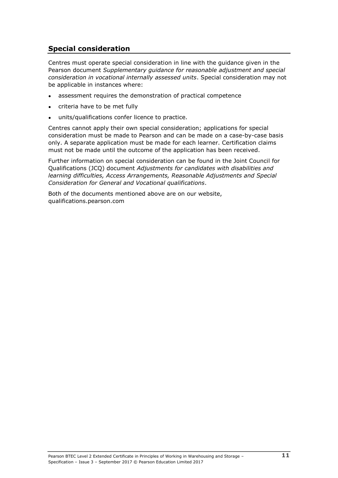### <span id="page-16-0"></span>**Special consideration**

Centres must operate special consideration in line with the guidance given in the Pearson document *Supplementary guidance for reasonable adjustment and special consideration in vocational internally assessed units*. Special consideration may not be applicable in instances where:

- assessment requires the demonstration of practical competence
- criteria have to be met fully
- units/qualifications confer licence to practice.

Centres cannot apply their own special consideration; applications for special consideration must be made to Pearson and can be made on a case-by-case basis only. A separate application must be made for each learner. Certification claims must not be made until the outcome of the application has been received.

Further information on special consideration can be found in the Joint Council for Qualifications (JCQ) document *Adjustments for candidates with disabilities and learning difficulties, Access Arrangements, Reasonable Adjustments and Special Consideration for General and Vocational qualifications*.

Both of the documents mentioned above are on our website, qualifications.pearson.com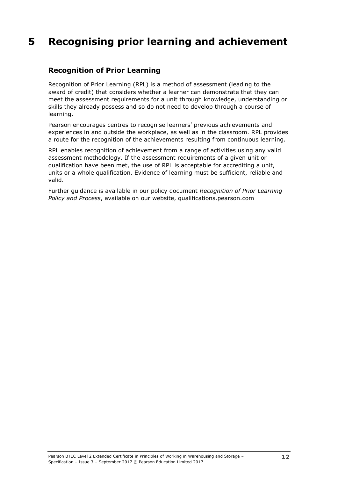## <span id="page-17-0"></span>**5 Recognising prior learning and achievement**

### <span id="page-17-1"></span>**Recognition of Prior Learning**

Recognition of Prior Learning (RPL) is a method of assessment (leading to the award of credit) that considers whether a learner can demonstrate that they can meet the assessment requirements for a unit through knowledge, understanding or skills they already possess and so do not need to develop through a course of learning.

Pearson encourages centres to recognise learners' previous achievements and experiences in and outside the workplace, as well as in the classroom. RPL provides a route for the recognition of the achievements resulting from continuous learning.

RPL enables recognition of achievement from a range of activities using any valid assessment methodology. If the assessment requirements of a given unit or qualification have been met, the use of RPL is acceptable for accrediting a unit, units or a whole qualification. Evidence of learning must be sufficient, reliable and valid.

Further guidance is available in our policy document *Recognition of Prior Learning Policy and Process*, available on our website, qualifications.pearson.com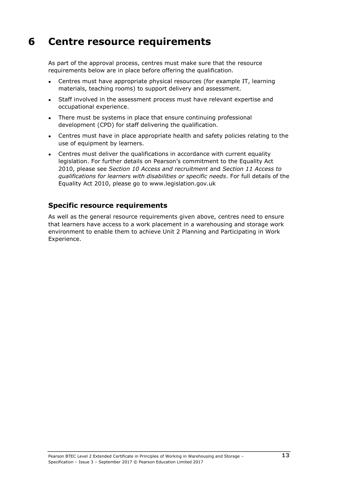## <span id="page-18-0"></span>**6 Centre resource requirements**

As part of the approval process, centres must make sure that the resource requirements below are in place before offering the qualification.

- Centres must have appropriate physical resources (for example IT, learning materials, teaching rooms) to support delivery and assessment.
- Staff involved in the assessment process must have relevant expertise and occupational experience.
- There must be systems in place that ensure continuing professional development (CPD) for staff delivering the qualification.
- Centres must have in place appropriate health and safety policies relating to the use of equipment by learners.
- Centres must deliver the qualifications in accordance with current equality legislation. For further details on Pearson's commitment to the Equality Act 2010, please see *Section 10 Access and recruitment* and *Section 11 Access to qualifications for learners with disabilities or specific needs*. For full details of the Equality Act 2010, please go to www.legislation.gov.uk

### **Specific resource requirements**

As well as the general resource requirements given above, centres need to ensure that learners have access to a work placement in a warehousing and storage work environment to enable them to achieve Unit 2 Planning and Participating in Work Experience.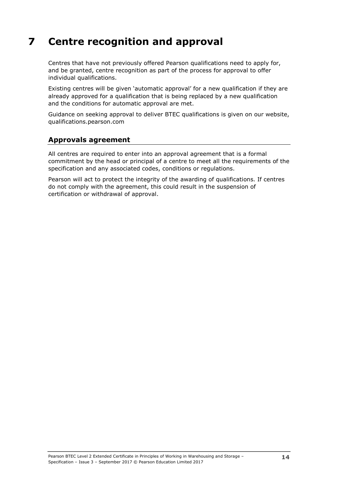## <span id="page-19-0"></span>**7 Centre recognition and approval**

Centres that have not previously offered Pearson qualifications need to apply for, and be granted, centre recognition as part of the process for approval to offer individual qualifications.

Existing centres will be given 'automatic approval' for a new qualification if they are already approved for a qualification that is being replaced by a new qualification and the conditions for automatic approval are met.

Guidance on seeking approval to deliver BTEC qualifications is given on our website, qualifications.pearson.com

### <span id="page-19-1"></span>**Approvals agreement**

All centres are required to enter into an approval agreement that is a formal commitment by the head or principal of a centre to meet all the requirements of the specification and any associated codes, conditions or regulations.

Pearson will act to protect the integrity of the awarding of qualifications. If centres do not comply with the agreement, this could result in the suspension of certification or withdrawal of approval.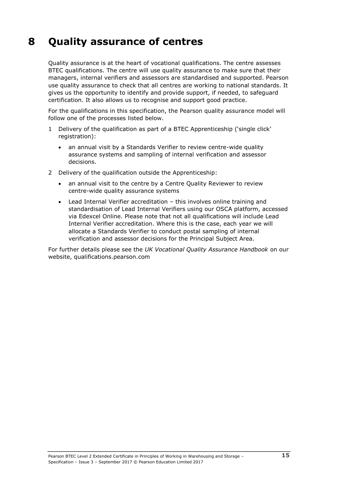## <span id="page-20-0"></span>**8 Quality assurance of centres**

Quality assurance is at the heart of vocational qualifications. The centre assesses BTEC qualifications. The centre will use quality assurance to make sure that their managers, internal verifiers and assessors are standardised and supported. Pearson use quality assurance to check that all centres are working to national standards. It gives us the opportunity to identify and provide support, if needed, to safeguard certification. It also allows us to recognise and support good practice.

For the qualifications in this specification, the Pearson quality assurance model will follow one of the processes listed below.

- 1 Delivery of the qualification as part of a BTEC Apprenticeship ('single click' registration):
	- an annual visit by a Standards Verifier to review centre-wide quality assurance systems and sampling of internal verification and assessor decisions.
- 2 Delivery of the qualification outside the Apprenticeship:
	- an annual visit to the centre by a Centre Quality Reviewer to review centre-wide quality assurance systems
	- Lead Internal Verifier accreditation this involves online training and standardisation of Lead Internal Verifiers using our OSCA platform, accessed via Edexcel Online. Please note that not all qualifications will include Lead Internal Verifier accreditation. Where this is the case, each year we will allocate a Standards Verifier to conduct postal sampling of internal verification and assessor decisions for the Principal Subject Area.

For further details please see the *UK Vocational Quality Assurance Handbook* [on](http://www.edexcel.com/quals/BTEC/quality/Pages/documents.aspx) our website, qualifications.pearson.com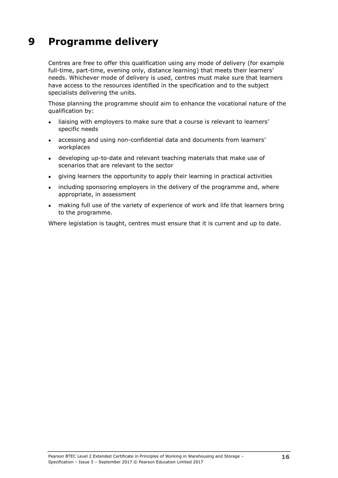## <span id="page-21-0"></span>**9 Programme delivery**

Centres are free to offer this qualification using any mode of delivery (for example full-time, part-time, evening only, distance learning) that meets their learners' needs. Whichever mode of delivery is used, centres must make sure that learners have access to the resources identified in the specification and to the subject specialists delivering the units.

Those planning the programme should aim to enhance the vocational nature of the qualification by:

- liaising with employers to make sure that a course is relevant to learners' specific needs
- accessing and using non-confidential data and documents from learners' workplaces
- developing up-to-date and relevant teaching materials that make use of scenarios that are relevant to the sector
- giving learners the opportunity to apply their learning in practical activities
- including sponsoring employers in the delivery of the programme and, where appropriate, in assessment
- making full use of the variety of experience of work and life that learners bring to the programme.

Where legislation is taught, centres must ensure that it is current and up to date.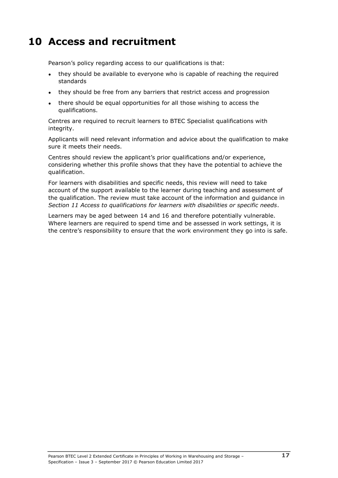## <span id="page-22-0"></span>**10 Access and recruitment**

Pearson's policy regarding access to our qualifications is that:

- they should be available to everyone who is capable of reaching the required standards
- they should be free from any barriers that restrict access and progression
- there should be equal opportunities for all those wishing to access the qualifications.

Centres are required to recruit learners to BTEC Specialist qualifications with integrity.

Applicants will need relevant information and advice about the qualification to make sure it meets their needs.

Centres should review the applicant's prior qualifications and/or experience, considering whether this profile shows that they have the potential to achieve the qualification.

For learners with disabilities and specific needs, this review will need to take account of the support available to the learner during teaching and assessment of the qualification. The review must take account of the information and guidance in *Section 11 Access to qualifications for learners with disabilities or specific needs*.

Learners may be aged between 14 and 16 and therefore potentially vulnerable. Where learners are required to spend time and be assessed in work settings, it is the centre's responsibility to ensure that the work environment they go into is safe.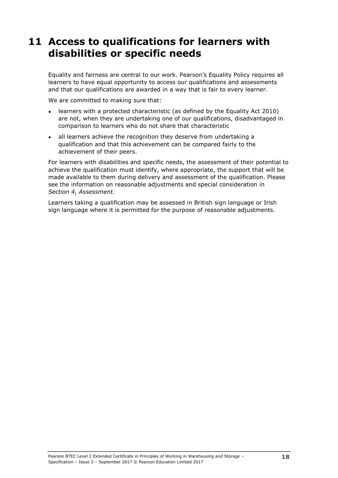## <span id="page-23-0"></span>**11 Access to qualifications for learners with disabilities or specific needs**

Equality and fairness are central to our work. Pearson's Equality Policy requires all learners to have equal opportunity to access our qualifications and assessments and that our qualifications are awarded in a way that is fair to every learner.

We are committed to making sure that:

- learners with a protected characteristic (as defined by the Equality Act 2010) are not, when they are undertaking one of our qualifications, disadvantaged in comparison to learners who do not share that characteristic
- all learners achieve the recognition they deserve from undertaking a qualification and that this achievement can be compared fairly to the achievement of their peers.

For learners with disabilities and specific needs, the assessment of their potential to achieve the qualification must identify, where appropriate, the support that will be made available to them during delivery and assessment of the qualification. Please see the information on reasonable adjustments and special consideration in *Section 4, Assessment.*

Learners taking a qualification may be assessed in British sign language or Irish sign language where it is permitted for the purpose of reasonable adjustments.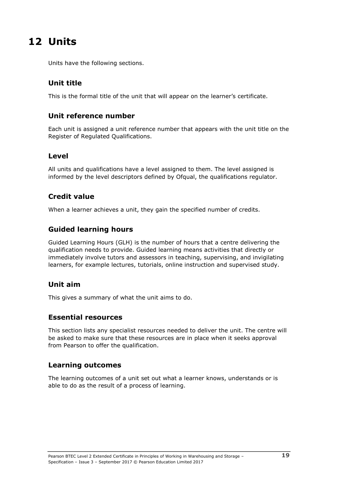## <span id="page-24-0"></span>**12 Units**

Units have the following sections.

## <span id="page-24-1"></span>**Unit title**

<span id="page-24-2"></span>This is the formal title of the unit that will appear on the learner's certificate.

#### **Unit reference number**

Each unit is assigned a unit reference number that appears with the unit title on the Register of Regulated Qualifications.

#### <span id="page-24-3"></span>**Level**

All units and qualifications have a level assigned to them. The level assigned is informed by the level descriptors defined by Ofqual, the qualifications regulator.

### <span id="page-24-4"></span>**Credit value**

<span id="page-24-5"></span>When a learner achieves a unit, they gain the specified number of credits.

### **Guided learning hours**

Guided Learning Hours (GLH) is the number of hours that a centre delivering the qualification needs to provide. Guided learning means activities that directly or immediately involve tutors and assessors in teaching, supervising, and invigilating learners, for example lectures, tutorials, online instruction and supervised study.

#### <span id="page-24-6"></span>**Unit aim**

<span id="page-24-7"></span>This gives a summary of what the unit aims to do.

#### **Essential resources**

This section lists any specialist resources needed to deliver the unit. The centre will be asked to make sure that these resources are in place when it seeks approval from Pearson to offer the qualification.

#### <span id="page-24-8"></span>**Learning outcomes**

The learning outcomes of a unit set out what a learner knows, understands or is able to do as the result of a process of learning.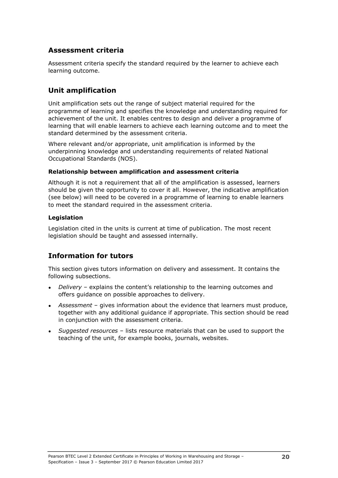### <span id="page-25-0"></span>**Assessment criteria**

Assessment criteria specify the standard required by the learner to achieve each learning outcome.

#### <span id="page-25-1"></span>**Unit amplification**

Unit amplification sets out the range of subject material required for the programme of learning and specifies the knowledge and understanding required for achievement of the unit. It enables centres to design and deliver a programme of learning that will enable learners to achieve each learning outcome and to meet the standard determined by the assessment criteria.

Where relevant and/or appropriate, unit amplification is informed by the underpinning knowledge and understanding requirements of related National Occupational Standards (NOS).

#### **Relationship between amplification and assessment criteria**

Although it is not a requirement that all of the amplification is assessed, learners should be given the opportunity to cover it all. However, the indicative amplification (see below) will need to be covered in a programme of learning to enable learners to meet the standard required in the assessment criteria.

#### **Legislation**

Legislation cited in the units is current at time of publication. The most recent legislation should be taught and assessed internally.

### <span id="page-25-2"></span>**Information for tutors**

This section gives tutors information on delivery and assessment. It contains the following subsections.

- *Delivery* explains the content's relationship to the learning outcomes and offers guidance on possible approaches to delivery.
- Assessment gives information about the evidence that learners must produce, together with any additional guidance if appropriate. This section should be read in conjunction with the assessment criteria.
- *Suggested resources* lists resource materials that can be used to support the teaching of the unit, for example books, journals, websites.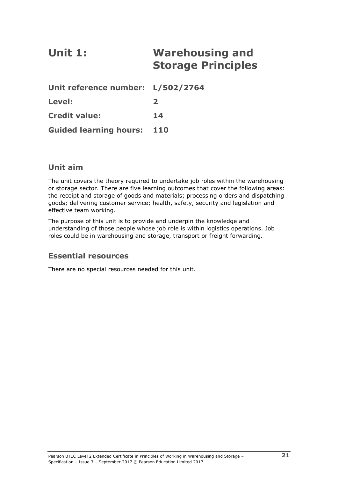# <span id="page-26-0"></span>**Unit 1: Warehousing and Storage Principles**

| Unit reference number: L/502/2764 |                  |
|-----------------------------------|------------------|
| Level:                            | $\boldsymbol{z}$ |
| <b>Credit value:</b>              | 14               |
| <b>Guided learning hours: 110</b> |                  |

### **Unit aim**

The unit covers the theory required to undertake job roles within the warehousing or storage sector. There are five learning outcomes that cover the following areas: the receipt and storage of goods and materials; processing orders and dispatching goods; delivering customer service; health, safety, security and legislation and effective team working.

The purpose of this unit is to provide and underpin the knowledge and understanding of those people whose job role is within logistics operations. Job roles could be in warehousing and storage, transport or freight forwarding.

### **Essential resources**

There are no special resources needed for this unit.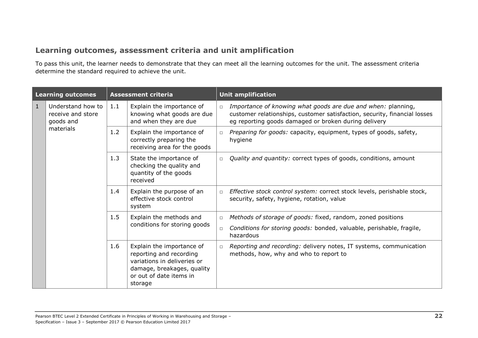## **Learning outcomes, assessment criteria and unit amplification**

To pass this unit, the learner needs to demonstrate that they can meet all the learning outcomes for the unit. The assessment criteria determine the standard required to achieve the unit.

| <b>Learning outcomes</b> |                                                                  | <b>Assessment criteria</b> |                                                                                                                                                         |                  | <b>Unit amplification</b>                                                                                                                                                                         |  |  |
|--------------------------|------------------------------------------------------------------|----------------------------|---------------------------------------------------------------------------------------------------------------------------------------------------------|------------------|---------------------------------------------------------------------------------------------------------------------------------------------------------------------------------------------------|--|--|
| $\mathbf{1}$             | Understand how to<br>receive and store<br>goods and<br>materials | 1.1                        | Explain the importance of<br>knowing what goods are due<br>and when they are due                                                                        | $\Box$           | Importance of knowing what goods are due and when: planning,<br>customer relationships, customer satisfaction, security, financial losses<br>eg reporting goods damaged or broken during delivery |  |  |
|                          |                                                                  | 1.2                        | Explain the importance of<br>correctly preparing the<br>receiving area for the goods                                                                    | $\Box$           | Preparing for goods: capacity, equipment, types of goods, safety,<br>hygiene                                                                                                                      |  |  |
|                          |                                                                  | 1.3                        | State the importance of<br>checking the quality and<br>quantity of the goods<br>received                                                                | $\Box$           | Quality and quantity: correct types of goods, conditions, amount                                                                                                                                  |  |  |
|                          |                                                                  | 1.4                        | Explain the purpose of an<br>effective stock control<br>system                                                                                          | $\Box$           | Effective stock control system: correct stock levels, perishable stock,<br>security, safety, hygiene, rotation, value                                                                             |  |  |
|                          |                                                                  | 1.5                        | Explain the methods and<br>conditions for storing goods                                                                                                 | $\Box$<br>$\Box$ | Methods of storage of goods: fixed, random, zoned positions<br>Conditions for storing goods: bonded, valuable, perishable, fragile,<br>hazardous                                                  |  |  |
|                          |                                                                  | 1.6                        | Explain the importance of<br>reporting and recording<br>variations in deliveries or<br>damage, breakages, quality<br>or out of date items in<br>storage | $\Box$           | Reporting and recording: delivery notes, IT systems, communication<br>methods, how, why and who to report to                                                                                      |  |  |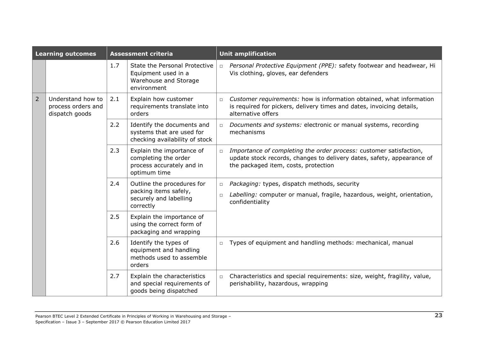| <b>Learning outcomes</b> |                                                           | <b>Assessment criteria</b> |                                                                                                |                  | <b>Unit amplification</b>                                                                                                                                                            |
|--------------------------|-----------------------------------------------------------|----------------------------|------------------------------------------------------------------------------------------------|------------------|--------------------------------------------------------------------------------------------------------------------------------------------------------------------------------------|
|                          |                                                           | 1.7                        | State the Personal Protective<br>Equipment used in a<br>Warehouse and Storage<br>environment   | $\Box$           | Personal Protective Equipment (PPE): safety footwear and headwear, Hi<br>Vis clothing, gloves, ear defenders                                                                         |
| $\overline{2}$           | Understand how to<br>process orders and<br>dispatch goods | 2.1                        | Explain how customer<br>requirements translate into<br>orders                                  | $\Box$           | Customer requirements: how is information obtained, what information<br>is required for pickers, delivery times and dates, invoicing details,<br>alternative offers                  |
|                          |                                                           | 2.2                        | Identify the documents and<br>systems that are used for<br>checking availability of stock      | $\Box$           | Documents and systems: electronic or manual systems, recording<br>mechanisms                                                                                                         |
|                          |                                                           | 2.3                        | Explain the importance of<br>completing the order<br>process accurately and in<br>optimum time | $\Box$           | Importance of completing the order process: customer satisfaction,<br>update stock records, changes to delivery dates, safety, appearance of<br>the packaged item, costs, protection |
|                          |                                                           | 2.4                        | Outline the procedures for<br>packing items safely,<br>securely and labelling<br>correctly     | $\Box$<br>$\Box$ | Packaging: types, dispatch methods, security<br>Labelling: computer or manual, fragile, hazardous, weight, orientation,<br>confidentiality                                           |
|                          |                                                           | 2.5                        | Explain the importance of<br>using the correct form of<br>packaging and wrapping               |                  |                                                                                                                                                                                      |
|                          |                                                           | 2.6                        | Identify the types of<br>equipment and handling<br>methods used to assemble<br>orders          | $\Box$           | Types of equipment and handling methods: mechanical, manual                                                                                                                          |
|                          |                                                           | 2.7                        | Explain the characteristics<br>and special requirements of<br>goods being dispatched           | $\Box$           | Characteristics and special requirements: size, weight, fragility, value,<br>perishability, hazardous, wrapping                                                                      |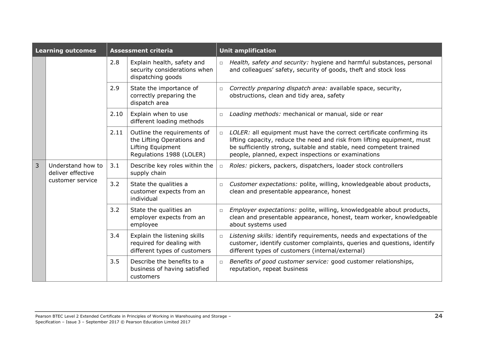| <b>Learning outcomes</b> |                                                            | <b>Assessment criteria</b> |                                                                                                            |        | <b>Unit amplification</b>                                                                                                                                                                                                                                                      |  |  |
|--------------------------|------------------------------------------------------------|----------------------------|------------------------------------------------------------------------------------------------------------|--------|--------------------------------------------------------------------------------------------------------------------------------------------------------------------------------------------------------------------------------------------------------------------------------|--|--|
|                          |                                                            | 2.8                        | Explain health, safety and<br>security considerations when<br>dispatching goods                            | $\Box$ | Health, safety and security: hygiene and harmful substances, personal<br>and colleagues' safety, security of goods, theft and stock loss                                                                                                                                       |  |  |
|                          |                                                            | 2.9                        | State the importance of<br>correctly preparing the<br>dispatch area                                        | $\Box$ | Correctly preparing dispatch area: available space, security,<br>obstructions, clean and tidy area, safety                                                                                                                                                                     |  |  |
|                          |                                                            | 2.10                       | Explain when to use<br>different loading methods                                                           | $\Box$ | Loading methods: mechanical or manual, side or rear                                                                                                                                                                                                                            |  |  |
|                          |                                                            | 2.11                       | Outline the requirements of<br>the Lifting Operations and<br>Lifting Equipment<br>Regulations 1988 (LOLER) | $\Box$ | LOLER: all equipment must have the correct certificate confirming its<br>lifting capacity, reduce the need and risk from lifting equipment, must<br>be sufficiently strong, suitable and stable, need competent trained<br>people, planned, expect inspections or examinations |  |  |
| $\overline{3}$           | Understand how to<br>deliver effective<br>customer service | 3.1                        | Describe key roles within the<br>supply chain                                                              | $\Box$ | Roles: pickers, packers, dispatchers, loader stock controllers                                                                                                                                                                                                                 |  |  |
|                          |                                                            | 3.2                        | State the qualities a<br>customer expects from an<br>individual                                            | $\Box$ | Customer expectations: polite, willing, knowledgeable about products,<br>clean and presentable appearance, honest                                                                                                                                                              |  |  |
|                          |                                                            | 3.2                        | State the qualities an<br>employer expects from an<br>employee                                             | $\Box$ | Employer expectations: polite, willing, knowledgeable about products,<br>clean and presentable appearance, honest, team worker, knowledgeable<br>about systems used                                                                                                            |  |  |
|                          |                                                            | 3.4                        | Explain the listening skills<br>required for dealing with<br>different types of customers                  | $\Box$ | Listening skills: identify requirements, needs and expectations of the<br>customer, identify customer complaints, queries and questions, identify<br>different types of customers (internal/external)                                                                          |  |  |
|                          |                                                            | 3.5                        | Describe the benefits to a<br>business of having satisfied<br>customers                                    | $\Box$ | Benefits of good customer service: good customer relationships,<br>reputation, repeat business                                                                                                                                                                                 |  |  |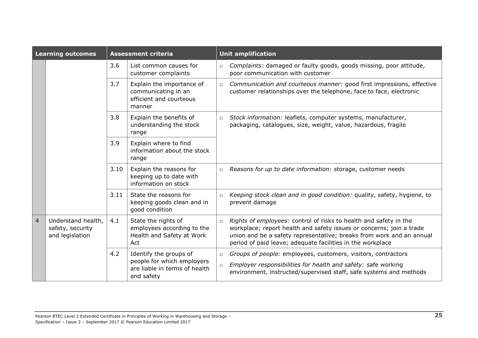| <b>Learning outcomes</b> |                                                           | <b>Assessment criteria</b> |                                                                                                     | <b>Unit amplification</b> |                                                                                                                                                                                                                                                                                 |  |
|--------------------------|-----------------------------------------------------------|----------------------------|-----------------------------------------------------------------------------------------------------|---------------------------|---------------------------------------------------------------------------------------------------------------------------------------------------------------------------------------------------------------------------------------------------------------------------------|--|
|                          |                                                           | 3.6                        | List common causes for<br>customer complaints                                                       | $\Box$                    | Complaints: damaged or faulty goods, goods missing, poor attitude,<br>poor communication with customer                                                                                                                                                                          |  |
|                          |                                                           | 3.7                        | Explain the importance of<br>communicating in an<br>efficient and courteous<br>manner               | $\Box$                    | Communication and courteous manner: good first impressions, effective<br>customer relationships over the telephone, face to face, electronic                                                                                                                                    |  |
|                          |                                                           | 3.8                        | Explain the benefits of<br>understanding the stock<br>range                                         | $\Box$                    | Stock information: leaflets, computer systems, manufacturer,<br>packaging, catalogues, size, weight, value, hazardous, fragile                                                                                                                                                  |  |
|                          |                                                           | 3.9                        | Explain where to find<br>information about the stock<br>range                                       |                           |                                                                                                                                                                                                                                                                                 |  |
|                          |                                                           | 3.10                       | Explain the reasons for<br>keeping up to date with<br>information on stock                          | $\Box$                    | Reasons for up to date information: storage, customer needs                                                                                                                                                                                                                     |  |
|                          |                                                           | 3.11                       | State the reasons for<br>keeping goods clean and in<br>good condition                               | $\Box$                    | Keeping stock clean and in good condition: quality, safety, hygiene, to<br>prevent damage                                                                                                                                                                                       |  |
| $\overline{4}$           | Understand health,<br>safety, security<br>and legislation | 4.1                        | State the rights of<br>employees according to the<br>Health and Safety at Work<br>Act               | $\Box$                    | Rights of employees: control of risks to health and safety in the<br>workplace; report health and safety issues or concerns; join a trade<br>union and be a safety representative; breaks from work and an annual<br>period of paid leave; adequate facilities in the workplace |  |
|                          |                                                           | 4.2                        | Identify the groups of<br>people for which employers<br>are liable in terms of health<br>and safety | $\Box$<br>$\Box$          | Groups of people: employees, customers, visitors, contractors<br>Employer responsibilities for health and safety: safe working<br>environment, instructed/supervised staff, safe systems and methods                                                                            |  |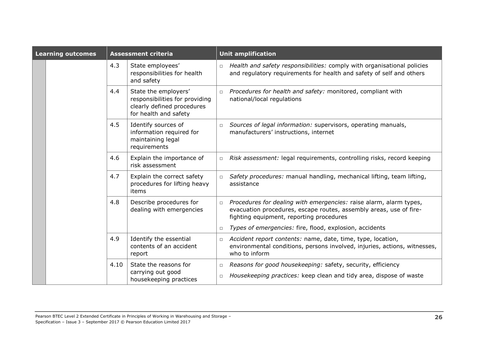| <b>Learning outcomes</b> | <b>Assessment criteria</b>                                           |                                                                                                               | <b>Unit amplification</b> |                                                                                                                                                                                      |  |  |
|--------------------------|----------------------------------------------------------------------|---------------------------------------------------------------------------------------------------------------|---------------------------|--------------------------------------------------------------------------------------------------------------------------------------------------------------------------------------|--|--|
|                          | 4.3<br>State employees'<br>responsibilities for health<br>and safety |                                                                                                               | $\Box$                    | Health and safety responsibilities: comply with organisational policies<br>and regulatory requirements for health and safety of self and others                                      |  |  |
|                          | 4.4                                                                  | State the employers'<br>responsibilities for providing<br>clearly defined procedures<br>for health and safety | $\Box$                    | Procedures for health and safety: monitored, compliant with<br>national/local regulations                                                                                            |  |  |
|                          | 4.5                                                                  | Identify sources of<br>information required for<br>maintaining legal<br>requirements                          | $\Box$                    | Sources of legal information: supervisors, operating manuals,<br>manufacturers' instructions, internet                                                                               |  |  |
|                          | 4.6                                                                  | Explain the importance of<br>risk assessment                                                                  | $\Box$                    | Risk assessment: legal requirements, controlling risks, record keeping                                                                                                               |  |  |
|                          | 4.7                                                                  | Explain the correct safety<br>procedures for lifting heavy<br>items                                           | $\Box$                    | Safety procedures: manual handling, mechanical lifting, team lifting,<br>assistance                                                                                                  |  |  |
|                          | 4.8                                                                  | Describe procedures for<br>dealing with emergencies                                                           | $\Box$                    | Procedures for dealing with emergencies: raise alarm, alarm types,<br>evacuation procedures, escape routes, assembly areas, use of fire-<br>fighting equipment, reporting procedures |  |  |
|                          |                                                                      |                                                                                                               | $\Box$                    | Types of emergencies: fire, flood, explosion, accidents                                                                                                                              |  |  |
|                          | 4.9                                                                  | Identify the essential<br>contents of an accident<br>report                                                   | $\Box$                    | Accident report contents: name, date, time, type, location,<br>environmental conditions, persons involved, injuries, actions, witnesses,<br>who to inform                            |  |  |
|                          | 4.10                                                                 | State the reasons for<br>carrying out good<br>housekeeping practices                                          | $\Box$<br>$\Box$          | Reasons for good housekeeping: safety, security, efficiency<br>Housekeeping practices: keep clean and tidy area, dispose of waste                                                    |  |  |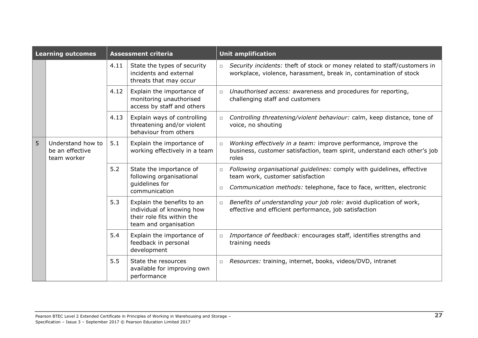| <b>Learning outcomes</b> |                                                     | <b>Assessment criteria</b>                                                              |                                                                                                                |                  | <b>Unit amplification</b>                                                                                                                                                         |
|--------------------------|-----------------------------------------------------|-----------------------------------------------------------------------------------------|----------------------------------------------------------------------------------------------------------------|------------------|-----------------------------------------------------------------------------------------------------------------------------------------------------------------------------------|
|                          |                                                     | 4.11<br>State the types of security<br>incidents and external<br>threats that may occur |                                                                                                                | $\Box$           | Security incidents: theft of stock or money related to staff/customers in<br>workplace, violence, harassment, break in, contamination of stock                                    |
|                          |                                                     | 4.12                                                                                    | Explain the importance of<br>monitoring unauthorised<br>access by staff and others                             | $\Box$           | Unauthorised access: awareness and procedures for reporting,<br>challenging staff and customers                                                                                   |
|                          |                                                     | 4.13                                                                                    | Explain ways of controlling<br>threatening and/or violent<br>behaviour from others                             | $\Box$           | Controlling threatening/violent behaviour: calm, keep distance, tone of<br>voice, no shouting                                                                                     |
| 5                        | Understand how to<br>be an effective<br>team worker | 5.1                                                                                     | Explain the importance of<br>working effectively in a team                                                     | $\Box$           | Working effectively in a team: improve performance, improve the<br>business, customer satisfaction, team spirit, understand each other's job<br>roles                             |
|                          |                                                     | 5.2                                                                                     | State the importance of<br>following organisational<br>quidelines for<br>communication                         | $\Box$<br>$\Box$ | Following organisational guidelines: comply with guidelines, effective<br>team work, customer satisfaction<br>Communication methods: telephone, face to face, written, electronic |
|                          |                                                     | 5.3                                                                                     | Explain the benefits to an<br>individual of knowing how<br>their role fits within the<br>team and organisation | $\Box$           | Benefits of understanding your job role: avoid duplication of work,<br>effective and efficient performance, job satisfaction                                                      |
|                          |                                                     | 5.4                                                                                     | Explain the importance of<br>feedback in personal<br>development                                               | $\Box$           | Importance of feedback: encourages staff, identifies strengths and<br>training needs                                                                                              |
|                          |                                                     | 5.5                                                                                     | State the resources<br>available for improving own<br>performance                                              | $\Box$           | Resources: training, internet, books, videos/DVD, intranet                                                                                                                        |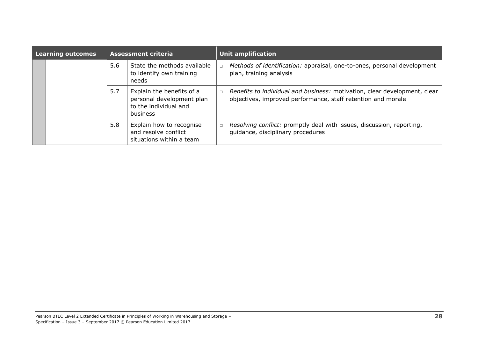| <b>Learning outcomes</b> |  | <b>Assessment criteria</b> |                                                                                             | <b>Unit amplification</b> |                                                                                                                                           |  |  |
|--------------------------|--|----------------------------|---------------------------------------------------------------------------------------------|---------------------------|-------------------------------------------------------------------------------------------------------------------------------------------|--|--|
|                          |  | 5.6                        | State the methods available<br>to identify own training<br>needs                            | $\Box$                    | Methods of identification: appraisal, one-to-ones, personal development<br>plan, training analysis                                        |  |  |
|                          |  | 5.7                        | Explain the benefits of a<br>personal development plan<br>to the individual and<br>business |                           | Benefits to individual and business: motivation, clear development, clear<br>objectives, improved performance, staff retention and morale |  |  |
|                          |  | 5.8                        | Explain how to recognise<br>and resolve conflict<br>situations within a team                |                           | Resolving conflict: promptly deal with issues, discussion, reporting,<br>guidance, disciplinary procedures                                |  |  |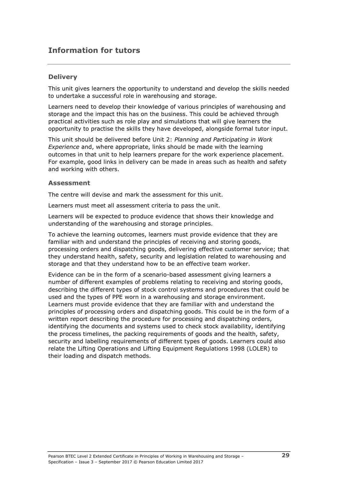## **Information for tutors**

#### **Delivery**

This unit gives learners the opportunity to understand and develop the skills needed to undertake a successful role in warehousing and storage.

Learners need to develop their knowledge of various principles of warehousing and storage and the impact this has on the business. This could be achieved through practical activities such as role play and simulations that will give learners the opportunity to practise the skills they have developed, alongside formal tutor input.

This unit should be delivered before Unit 2: *Planning and Participating in Work Experience* and, where appropriate, links should be made with the learning outcomes in that unit to help learners prepare for the work experience placement. For example, good links in delivery can be made in areas such as health and safety and working with others.

#### **Assessment**

The centre will devise and mark the assessment for this unit.

Learners must meet all assessment criteria to pass the unit.

Learners will be expected to produce evidence that shows their knowledge and understanding of the warehousing and storage principles.

To achieve the learning outcomes, learners must provide evidence that they are familiar with and understand the principles of receiving and storing goods, processing orders and dispatching goods, delivering effective customer service; that they understand health, safety, security and legislation related to warehousing and storage and that they understand how to be an effective team worker.

Evidence can be in the form of a scenario-based assessment giving learners a number of different examples of problems relating to receiving and storing goods, describing the different types of stock control systems and procedures that could be used and the types of PPE worn in a warehousing and storage environment. Learners must provide evidence that they are familiar with and understand the principles of processing orders and dispatching goods. This could be in the form of a written report describing the procedure for processing and dispatching orders, identifying the documents and systems used to check stock availability, identifying the process timelines, the packing requirements of goods and the health, safety, security and labelling requirements of different types of goods. Learners could also relate the Lifting Operations and Lifting Equipment Regulations 1998 (LOLER) to their loading and dispatch methods.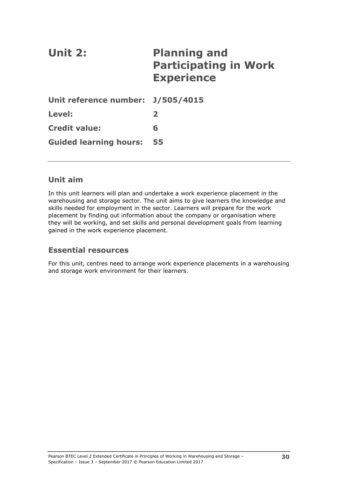<span id="page-35-0"></span>

| <b>Unit 2:</b>                    | <b>Planning and</b><br><b>Participating in Work</b><br><b>Experience</b> |
|-----------------------------------|--------------------------------------------------------------------------|
| Unit reference number: J/505/4015 |                                                                          |
| Level:                            | $\overline{\mathbf{2}}$                                                  |
| <b>Credit value:</b>              | 6                                                                        |
| <b>Guided learning hours:</b>     | 55                                                                       |

### **Unit aim**

In this unit learners will plan and undertake a work experience placement in the warehousing and storage sector. The unit aims to give learners the knowledge and skills needed for employment in the sector. Learners will prepare for the work placement by finding out information about the company or organisation where they will be working, and set skills and personal development goals from learning gained in the work experience placement.

#### **Essential resources**

For this unit, centres need to arrange work experience placements in a warehousing and storage work environment for their learners.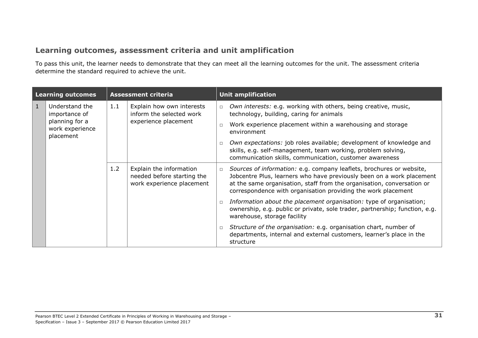## **Learning outcomes, assessment criteria and unit amplification**

To pass this unit, the learner needs to demonstrate that they can meet all the learning outcomes for the unit. The assessment criteria determine the standard required to achieve the unit.

| <b>Learning outcomes</b> |                                                | <b>Assessment criteria</b> |                                                                                    | <b>Unit amplification</b> |                                                                                                                                                                                                                                                                                          |  |
|--------------------------|------------------------------------------------|----------------------------|------------------------------------------------------------------------------------|---------------------------|------------------------------------------------------------------------------------------------------------------------------------------------------------------------------------------------------------------------------------------------------------------------------------------|--|
| $\mathbf{1}$             | Understand the<br>importance of                | 1.1                        | Explain how own interests<br>inform the selected work<br>experience placement      | $\Box$                    | Own interests: e.g. working with others, being creative, music,<br>technology, building, caring for animals                                                                                                                                                                              |  |
|                          | planning for a<br>work experience<br>placement |                            |                                                                                    |                           | Work experience placement within a warehousing and storage<br>environment                                                                                                                                                                                                                |  |
|                          |                                                |                            |                                                                                    |                           | Own expectations: job roles available; development of knowledge and<br>skills, e.g. self-management, team working, problem solving,<br>communication skills, communication, customer awareness                                                                                           |  |
|                          |                                                | 1.2                        | Explain the information<br>needed before starting the<br>work experience placement | $\Box$                    | Sources of information: e.g. company leaflets, brochures or website,<br>Jobcentre Plus, learners who have previously been on a work placement<br>at the same organisation, staff from the organisation, conversation or<br>correspondence with organisation providing the work placement |  |
|                          |                                                |                            |                                                                                    |                           | Information about the placement organisation: type of organisation;<br>ownership, e.g. public or private, sole trader, partnership; function, e.g.<br>warehouse, storage facility                                                                                                        |  |
|                          |                                                |                            |                                                                                    |                           | Structure of the organisation: e.g. organisation chart, number of<br>departments, internal and external customers, learner's place in the<br>structure                                                                                                                                   |  |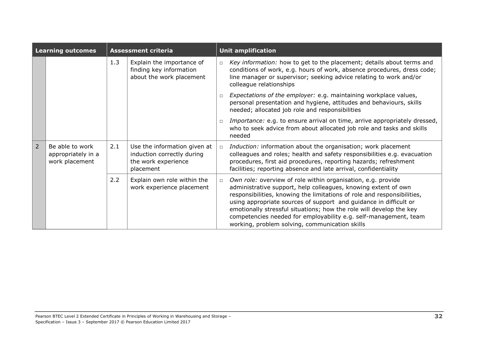| <b>Learning outcomes</b> |                                                         | <b>Assessment criteria</b> |                                                                                                |                                                                                                                                                                                            | <b>Unit amplification</b>                                                                                                                                                                                                                                                                                                                                                                                                                                                   |  |  |
|--------------------------|---------------------------------------------------------|----------------------------|------------------------------------------------------------------------------------------------|--------------------------------------------------------------------------------------------------------------------------------------------------------------------------------------------|-----------------------------------------------------------------------------------------------------------------------------------------------------------------------------------------------------------------------------------------------------------------------------------------------------------------------------------------------------------------------------------------------------------------------------------------------------------------------------|--|--|
|                          |                                                         | 1.3                        | Explain the importance of<br>finding key information<br>about the work placement               |                                                                                                                                                                                            | Key information: how to get to the placement; details about terms and<br>conditions of work, e.g. hours of work, absence procedures, dress code;<br>line manager or supervisor; seeking advice relating to work and/or<br>colleague relationships                                                                                                                                                                                                                           |  |  |
|                          |                                                         |                            |                                                                                                | Expectations of the employer: e.g. maintaining workplace values,<br>personal presentation and hygiene, attitudes and behaviours, skills<br>needed; allocated job role and responsibilities |                                                                                                                                                                                                                                                                                                                                                                                                                                                                             |  |  |
|                          |                                                         |                            |                                                                                                | $\Box$                                                                                                                                                                                     | Importance: e.g. to ensure arrival on time, arrive appropriately dressed,<br>who to seek advice from about allocated job role and tasks and skills<br>needed                                                                                                                                                                                                                                                                                                                |  |  |
| $\overline{2}$           | Be able to work<br>appropriately in a<br>work placement | 2.1                        | Use the information given at<br>induction correctly during<br>the work experience<br>placement | $\Box$                                                                                                                                                                                     | Induction: information about the organisation; work placement<br>colleagues and roles; health and safety responsibilities e.g. evacuation<br>procedures, first aid procedures, reporting hazards; refreshment<br>facilities; reporting absence and late arrival, confidentiality                                                                                                                                                                                            |  |  |
|                          |                                                         | 2.2                        | Explain own role within the<br>work experience placement                                       | $\Box$                                                                                                                                                                                     | Own role: overview of role within organisation, e.g. provide<br>administrative support, help colleagues, knowing extent of own<br>responsibilities, knowing the limitations of role and responsibilities,<br>using appropriate sources of support and guidance in difficult or<br>emotionally stressful situations; how the role will develop the key<br>competencies needed for employability e.g. self-management, team<br>working, problem solving, communication skills |  |  |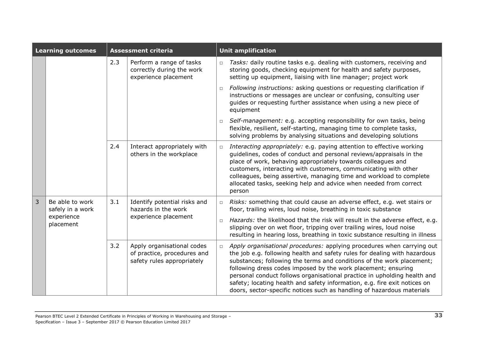| <b>Learning outcomes</b> |                                                                | <b>Assessment criteria</b> |                                                                                         |        | <b>Unit amplification</b>                                                                                                                                                                                                                                                                                                                                                                                                                                                                                                        |  |  |  |
|--------------------------|----------------------------------------------------------------|----------------------------|-----------------------------------------------------------------------------------------|--------|----------------------------------------------------------------------------------------------------------------------------------------------------------------------------------------------------------------------------------------------------------------------------------------------------------------------------------------------------------------------------------------------------------------------------------------------------------------------------------------------------------------------------------|--|--|--|
|                          |                                                                | 2.3                        | Perform a range of tasks<br>correctly during the work<br>experience placement           | $\Box$ | Tasks: daily routine tasks e.g. dealing with customers, receiving and<br>storing goods, checking equipment for health and safety purposes,<br>setting up equipment, liaising with line manager; project work                                                                                                                                                                                                                                                                                                                     |  |  |  |
|                          |                                                                |                            |                                                                                         | $\Box$ | Following instructions: asking questions or requesting clarification if<br>instructions or messages are unclear or confusing, consulting user<br>guides or requesting further assistance when using a new piece of<br>equipment                                                                                                                                                                                                                                                                                                  |  |  |  |
|                          |                                                                |                            |                                                                                         | $\Box$ | Self-management: e.g. accepting responsibility for own tasks, being<br>flexible, resilient, self-starting, managing time to complete tasks,<br>solving problems by analysing situations and developing solutions                                                                                                                                                                                                                                                                                                                 |  |  |  |
|                          |                                                                | 2.4                        | Interact appropriately with<br>others in the workplace                                  | $\Box$ | Interacting appropriately: e.g. paying attention to effective working<br>guidelines, codes of conduct and personal reviews/appraisals in the<br>place of work, behaving appropriately towards colleagues and<br>customers, interacting with customers, communicating with other<br>colleagues, being assertive, managing time and workload to complete<br>allocated tasks, seeking help and advice when needed from correct<br>person                                                                                            |  |  |  |
| 3                        | Be able to work<br>safely in a work<br>experience<br>placement | 3.1                        | Identify potential risks and<br>hazards in the work<br>experience placement             | $\Box$ | Risks: something that could cause an adverse effect, e.g. wet stairs or<br>floor, trailing wires, loud noise, breathing in toxic substance                                                                                                                                                                                                                                                                                                                                                                                       |  |  |  |
|                          |                                                                |                            |                                                                                         | $\Box$ | Hazards: the likelihood that the risk will result in the adverse effect, e.g.<br>slipping over on wet floor, tripping over trailing wires, loud noise<br>resulting in hearing loss, breathing in toxic substance resulting in illness                                                                                                                                                                                                                                                                                            |  |  |  |
|                          |                                                                | 3.2                        | Apply organisational codes<br>of practice, procedures and<br>safety rules appropriately | $\Box$ | Apply organisational procedures: applying procedures when carrying out<br>the job e.g. following health and safety rules for dealing with hazardous<br>substances; following the terms and conditions of the work placement;<br>following dress codes imposed by the work placement; ensuring<br>personal conduct follows organisational practice in upholding health and<br>safety; locating health and safety information, e.g. fire exit notices on<br>doors, sector-specific notices such as handling of hazardous materials |  |  |  |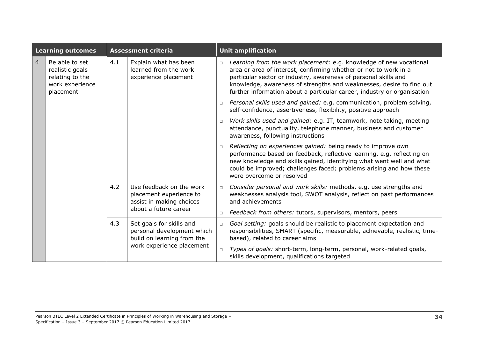| <b>Learning outcomes</b> |                                                                                      | <b>Assessment criteria</b> |                                                                                                                   |        | <b>Unit amplification</b>                                                                                                                                                                                                                                                                                                                                    |  |  |
|--------------------------|--------------------------------------------------------------------------------------|----------------------------|-------------------------------------------------------------------------------------------------------------------|--------|--------------------------------------------------------------------------------------------------------------------------------------------------------------------------------------------------------------------------------------------------------------------------------------------------------------------------------------------------------------|--|--|
| $\overline{4}$           | Be able to set<br>realistic goals<br>relating to the<br>work experience<br>placement | 4.1                        | Explain what has been<br>learned from the work<br>experience placement                                            | $\Box$ | Learning from the work placement: e.g. knowledge of new vocational<br>area or area of interest, confirming whether or not to work in a<br>particular sector or industry, awareness of personal skills and<br>knowledge, awareness of strengths and weaknesses, desire to find out<br>further information about a particular career, industry or organisation |  |  |
|                          |                                                                                      |                            |                                                                                                                   | $\Box$ | Personal skills used and gained: e.g. communication, problem solving,<br>self-confidence, assertiveness, flexibility, positive approach                                                                                                                                                                                                                      |  |  |
|                          |                                                                                      |                            |                                                                                                                   | $\Box$ | Work skills used and gained: e.g. IT, teamwork, note taking, meeting<br>attendance, punctuality, telephone manner, business and customer<br>awareness, following instructions                                                                                                                                                                                |  |  |
|                          |                                                                                      |                            |                                                                                                                   | $\Box$ | Reflecting on experiences gained: being ready to improve own<br>performance based on feedback, reflective learning, e.g. reflecting on<br>new knowledge and skills gained, identifying what went well and what<br>could be improved; challenges faced; problems arising and how these<br>were overcome or resolved                                           |  |  |
|                          |                                                                                      | 4.2                        | Use feedback on the work<br>placement experience to<br>assist in making choices<br>about a future career          | $\Box$ | Consider personal and work skills: methods, e.g. use strengths and<br>weaknesses analysis tool, SWOT analysis, reflect on past performances<br>and achievements                                                                                                                                                                                              |  |  |
|                          |                                                                                      |                            |                                                                                                                   | $\Box$ | Feedback from others: tutors, supervisors, mentors, peers                                                                                                                                                                                                                                                                                                    |  |  |
|                          |                                                                                      | 4.3                        | Set goals for skills and<br>personal development which<br>build on learning from the<br>work experience placement | $\Box$ | Goal setting: goals should be realistic to placement expectation and<br>responsibilities, SMART (specific, measurable, achievable, realistic, time-<br>based), related to career aims                                                                                                                                                                        |  |  |
|                          |                                                                                      |                            |                                                                                                                   | $\Box$ | Types of goals: short-term, long-term, personal, work-related goals,<br>skills development, qualifications targeted                                                                                                                                                                                                                                          |  |  |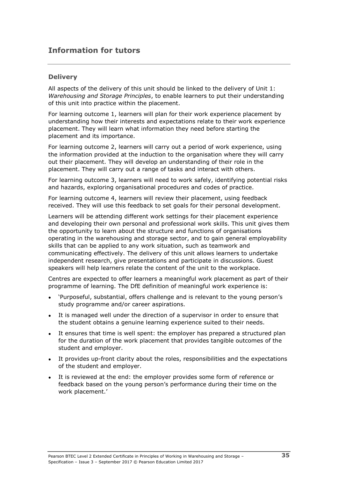## **Information for tutors**

#### **Delivery**

All aspects of the delivery of this unit should be linked to the delivery of Unit 1: *Warehousing and Storage Principles*, to enable learners to put their understanding of this unit into practice within the placement.

For learning outcome 1, learners will plan for their work experience placement by understanding how their interests and expectations relate to their work experience placement. They will learn what information they need before starting the placement and its importance.

For learning outcome 2, learners will carry out a period of work experience, using the information provided at the induction to the organisation where they will carry out their placement. They will develop an understanding of their role in the placement. They will carry out a range of tasks and interact with others.

For learning outcome 3, learners will need to work safely, identifying potential risks and hazards, exploring organisational procedures and codes of practice.

For learning outcome 4, learners will review their placement, using feedback received. They will use this feedback to set goals for their personal development.

Learners will be attending different work settings for their placement experience and developing their own personal and professional work skills. This unit gives them the opportunity to learn about the structure and functions of organisations operating in the warehousing and storage sector, and to gain general employability skills that can be applied to any work situation, such as teamwork and communicating effectively. The delivery of this unit allows learners to undertake independent research, give presentations and participate in discussions. Guest speakers will help learners relate the content of the unit to the workplace.

Centres are expected to offer learners a meaningful work placement as part of their programme of learning. The DfE definition of meaningful work experience is:

- 'Purposeful, substantial, offers challenge and is relevant to the young person's study programme and/or career aspirations.
- It is managed well under the direction of a supervisor in order to ensure that the student obtains a genuine learning experience suited to their needs.
- It ensures that time is well spent: the employer has prepared a structured plan for the duration of the work placement that provides tangible outcomes of the student and employer.
- It provides up-front clarity about the roles, responsibilities and the expectations of the student and employer.
- It is reviewed at the end: the employer provides some form of reference or feedback based on the young person's performance during their time on the work placement.'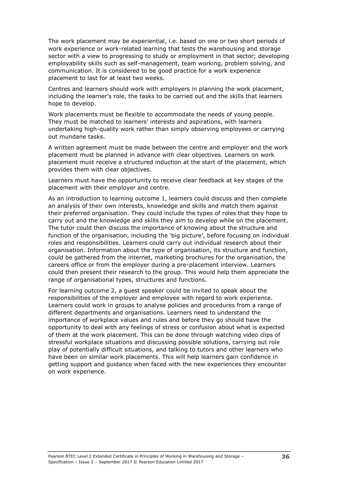The work placement may be experiential, i.e. based on one or two short periods of work experience or work-related learning that tests the warehousing and storage sector with a view to progressing to study or employment in that sector; developing employability skills such as self-management, team working, problem solving, and communication. It is considered to be good practice for a work experience placement to last for at least two weeks.

Centres and learners should work with employers in planning the work placement, including the learner's role, the tasks to be carried out and the skills that learners hope to develop.

Work placements must be flexible to accommodate the needs of young people. They must be matched to learners' interests and aspirations, with learners undertaking high-quality work rather than simply observing employees or carrying out mundane tasks.

A written agreement must be made between the centre and employer and the work placement must be planned in advance with clear objectives. Learners on work placement must receive a structured induction at the start of the placement, which provides them with clear objectives.

Learners must have the opportunity to receive clear feedback at key stages of the placement with their employer and centre.

As an introduction to learning outcome 1, learners could discuss and then complete an analysis of their own interests, knowledge and skills and match them against their preferred organisation. They could include the types of roles that they hope to carry out and the knowledge and skills they aim to develop while on the placement. The tutor could then discuss the importance of knowing about the structure and function of the organisation, including the 'big picture', before focusing on individual roles and responsibilities. Learners could carry out individual research about their organisation. Information about the type of organisation, its structure and function, could be gathered from the internet, marketing brochures for the organisation, the careers office or from the employer during a pre-placement interview. Learners could then present their research to the group. This would help them appreciate the range of organisational types, structures and functions.

For learning outcome 2, a guest speaker could be invited to speak about the responsibilities of the employer and employee with regard to work experience. Learners could work in groups to analyse policies and procedures from a range of different departments and organisations. Learners need to understand the importance of workplace values and rules and before they go should have the opportunity to deal with any feelings of stress or confusion about what is expected of them at the work placement. This can be done through watching video clips of stressful workplace situations and discussing possible solutions, carrying out role play of potentially difficult situations, and talking to tutors and other learners who have been on similar work placements. This will help learners gain confidence in getting support and guidance when faced with the new experiences they encounter on work experience.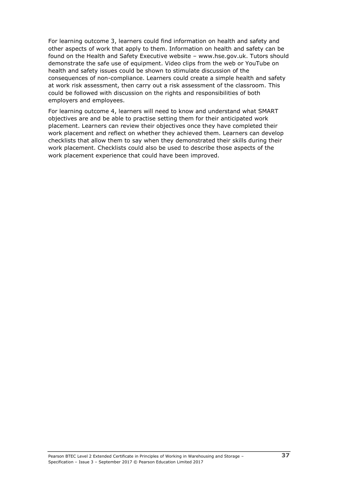For learning outcome 3, learners could find information on health and safety and other aspects of work that apply to them. Information on health and safety can be found on the Health and Safety Executive website – www.hse.gov.uk. Tutors should demonstrate the safe use of equipment. Video clips from the web or YouTube on health and safety issues could be shown to stimulate discussion of the consequences of non-compliance. Learners could create a simple health and safety at work risk assessment, then carry out a risk assessment of the classroom. This could be followed with discussion on the rights and responsibilities of both employers and employees.

For learning outcome 4, learners will need to know and understand what SMART objectives are and be able to practise setting them for their anticipated work placement. Learners can review their objectives once they have completed their work placement and reflect on whether they achieved them. Learners can develop checklists that allow them to say when they demonstrated their skills during their work placement. Checklists could also be used to describe those aspects of the work placement experience that could have been improved.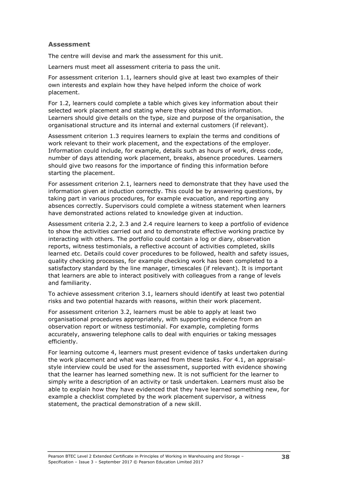#### **Assessment**

The centre will devise and mark the assessment for this unit.

Learners must meet all assessment criteria to pass the unit.

For assessment criterion 1.1, learners should give at least two examples of their own interests and explain how they have helped inform the choice of work placement.

For 1.2, learners could complete a table which gives key information about their selected work placement and stating where they obtained this information. Learners should give details on the type, size and purpose of the organisation, the organisational structure and its internal and external customers (if relevant).

Assessment criterion 1.3 requires learners to explain the terms and conditions of work relevant to their work placement, and the expectations of the employer. Information could include, for example, details such as hours of work, dress code, number of days attending work placement, breaks, absence procedures. Learners should give two reasons for the importance of finding this information before starting the placement.

For assessment criterion 2.1, learners need to demonstrate that they have used the information given at induction correctly. This could be by answering questions, by taking part in various procedures, for example evacuation, and reporting any absences correctly. Supervisors could complete a witness statement when learners have demonstrated actions related to knowledge given at induction.

Assessment criteria 2.2, 2.3 and 2.4 require learners to keep a portfolio of evidence to show the activities carried out and to demonstrate effective working practice by interacting with others. The portfolio could contain a log or diary, observation reports, witness testimonials, a reflective account of activities completed, skills learned etc. Details could cover procedures to be followed, health and safety issues, quality checking processes, for example checking work has been completed to a satisfactory standard by the line manager, timescales (if relevant). It is important that learners are able to interact positively with colleagues from a range of levels and familiarity.

To achieve assessment criterion 3.1, learners should identify at least two potential risks and two potential hazards with reasons, within their work placement.

For assessment criterion 3.2, learners must be able to apply at least two organisational procedures appropriately, with supporting evidence from an observation report or witness testimonial. For example, completing forms accurately, answering telephone calls to deal with enquiries or taking messages efficiently.

For learning outcome 4, learners must present evidence of tasks undertaken during the work placement and what was learned from these tasks. For 4.1, an appraisalstyle interview could be used for the assessment, supported with evidence showing that the learner has learned something new. It is not sufficient for the learner to simply write a description of an activity or task undertaken. Learners must also be able to explain how they have evidenced that they have learned something new, for example a checklist completed by the work placement supervisor, a witness statement, the practical demonstration of a new skill.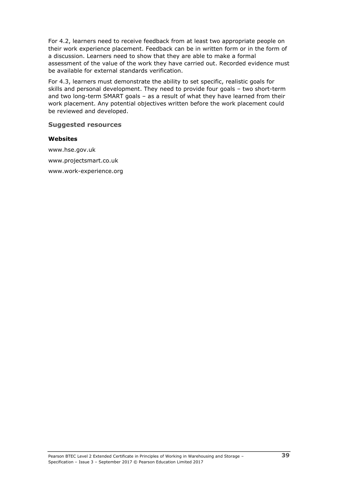For 4.2, learners need to receive feedback from at least two appropriate people on their work experience placement. Feedback can be in written form or in the form of a discussion. Learners need to show that they are able to make a formal assessment of the value of the work they have carried out. Recorded evidence must be available for external standards verification.

For 4.3, learners must demonstrate the ability to set specific, realistic goals for skills and personal development. They need to provide four goals – two short-term and two long-term SMART goals – as a result of what they have learned from their work placement. Any potential objectives written before the work placement could be reviewed and developed.

#### **Suggested resources**

#### **Websites**

www.hse.gov.uk www.projectsmart.co.uk www.work-experience.org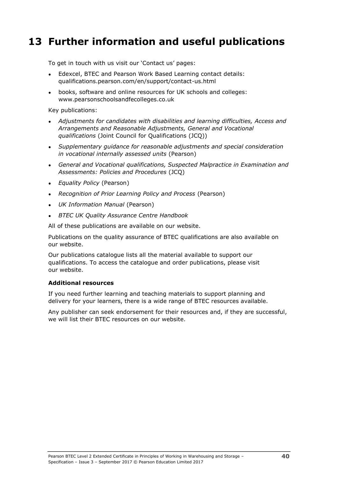## <span id="page-45-0"></span>**13 Further information and useful publications**

To get in touch with us visit our 'Contact us' pages:

- Edexcel, BTEC and Pearson Work Based Learning contact details: qualifications.pearson.com/en/support/contact-us.html
- books, software and online resources for UK schools and colleges: www.pearsonschoolsandfecolleges.co.uk

Key publications:

- *Adjustments for candidates with disabilities and learning difficulties, Access and Arrangements and Reasonable Adjustments, General and Vocational qualifications* (Joint Council for Qualifications (JCQ))
- *Supplementary guidance for reasonable adjustments and special consideration in vocational internally assessed units* (Pearson)
- *General and Vocational qualifications, Suspected Malpractice in Examination and Assessments: Policies and Procedures* (JCQ)
- *Equality Policy* (Pearson)
- *Recognition of Prior Learning Policy and Process* (Pearson)
- *UK Information Manual* (Pearson)
- **BTEC UK Quality Assurance Centre Handbook**

All of these publications are available on our website.

Publications on the quality assurance of BTEC qualifications are also available on our website.

Our publications catalogue lists all the material available to support our qualifications. To access the catalogue and order publications, please visit our website.

#### **Additional resources**

If you need further learning and teaching materials to support planning and delivery for your learners, there is a wide range of BTEC resources available.

Any publisher can seek endorsement for their resources and, if they are successful, we will list their BTEC resources on our website.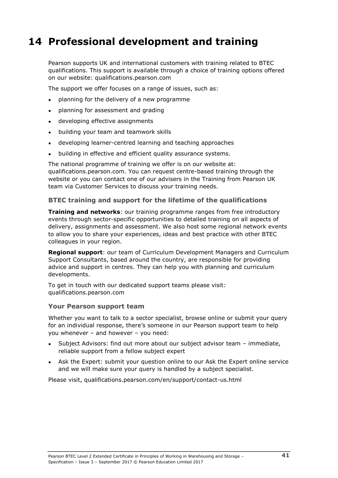## <span id="page-46-0"></span>**14 Professional development and training**

Pearson supports UK and international customers with training related to BTEC qualifications. This support is available through a choice of training options offered on our website: qualifications.pearson.com

The support we offer focuses on a range of issues, such as:

- planning for the delivery of a new programme
- planning for assessment and grading
- developing effective assignments
- building your team and teamwork skills
- developing learner-centred learning and teaching approaches
- building in effective and efficient quality assurance systems.

The national programme of training we offer is on our website at: qualifications.pearson.com. You can request centre-based training through the website or you can contact one of our advisers in the Training from Pearson UK team via Customer Services to discuss your training needs.

#### **BTEC training and support for the lifetime of the qualifications**

**Training and networks**: our training programme ranges from free introductory events through sector-specific opportunities to detailed training on all aspects of delivery, assignments and assessment. We also host some regional network events to allow you to share your experiences, ideas and best practice with other BTEC colleagues in your region.

**Regional support**: our team of Curriculum Development Managers and Curriculum Support Consultants, based around the country, are responsible for providing advice and support in centres. They can help you with planning and curriculum developments.

To get in touch with our dedicated support teams please visit: qualifications.pearson.com

#### **Your Pearson support team**

Whether you want to talk to a sector specialist, browse online or submit your query for an individual response, there's someone in our Pearson support team to help you whenever – and however – you need:

- Subject Advisors: find out more about our subject advisor team immediate, reliable support from a fellow subject expert
- Ask the Expert: submit your question online to our Ask the Expert online service and we will make sure your query is handled by a subject specialist.

Please visit, qualifications.pearson.com/en/support/contact-us.html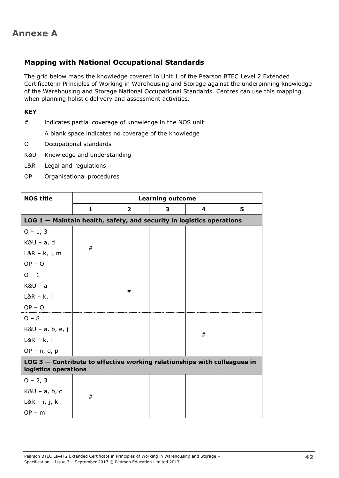### <span id="page-47-1"></span><span id="page-47-0"></span>**Mapping with National Occupational Standards**

The grid below maps the knowledge covered in Unit 1 of the Pearson BTEC Level 2 Extended Certificate in Principles of Working in Warehousing and Storage against the underpinning knowledge of the Warehousing and Storage National Occupational Standards. Centres can use this mapping when planning holistic delivery and assessment activities.

#### **KEY**

# indicates partial coverage of knowledge in the NOS unit

A blank space indicates no coverage of the knowledge

- O Occupational standards
- K&U Knowledge and understanding
- L&R Legal and regulations
- OP Organisational procedures

| <b>NOS title</b>                                                      | <b>Learning outcome</b>                                                                          |                |   |   |   |  |  |  |  |
|-----------------------------------------------------------------------|--------------------------------------------------------------------------------------------------|----------------|---|---|---|--|--|--|--|
|                                                                       | 1                                                                                                | $\overline{2}$ | 3 | 4 | 5 |  |  |  |  |
| LOG 1 - Maintain health, safety, and security in logistics operations |                                                                                                  |                |   |   |   |  |  |  |  |
| $0 - 1, 3$                                                            |                                                                                                  |                |   |   |   |  |  |  |  |
| $K&U - a, d$                                                          | #                                                                                                |                |   |   |   |  |  |  |  |
| $L&R - k, l, m$                                                       |                                                                                                  |                |   |   |   |  |  |  |  |
| $OP - O$                                                              |                                                                                                  |                |   |   |   |  |  |  |  |
| $0 - 1$                                                               |                                                                                                  |                |   |   |   |  |  |  |  |
| $K8U - a$                                                             |                                                                                                  | #              |   |   |   |  |  |  |  |
| $L&R - k, I$                                                          |                                                                                                  |                |   |   |   |  |  |  |  |
| $OP - O$                                                              |                                                                                                  |                |   |   |   |  |  |  |  |
| $O - 8$                                                               |                                                                                                  |                |   |   |   |  |  |  |  |
| $K&U - a, b, e, j$                                                    |                                                                                                  |                |   | # |   |  |  |  |  |
| $L&R - k, l$                                                          |                                                                                                  |                |   |   |   |  |  |  |  |
| $OP - n$ , o, p                                                       |                                                                                                  |                |   |   |   |  |  |  |  |
|                                                                       | LOG 3 - Contribute to effective working relationships with colleagues in<br>logistics operations |                |   |   |   |  |  |  |  |
| $0 - 2, 3$                                                            |                                                                                                  |                |   |   |   |  |  |  |  |
| $K&U - a, b, c$                                                       | #                                                                                                |                |   |   |   |  |  |  |  |
| $L&R - i, j, k$                                                       |                                                                                                  |                |   |   |   |  |  |  |  |
| $OP - m$                                                              |                                                                                                  |                |   |   |   |  |  |  |  |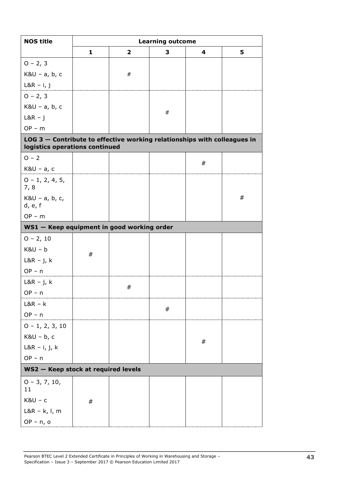| <b>NOS title</b>                                                                                             |   | <b>Learning outcome</b> |         |         |   |  |  |  |  |  |
|--------------------------------------------------------------------------------------------------------------|---|-------------------------|---------|---------|---|--|--|--|--|--|
|                                                                                                              | 1 | $\overline{\mathbf{2}}$ | 3       | 4       | 5 |  |  |  |  |  |
| $0 - 2, 3$                                                                                                   |   |                         |         |         |   |  |  |  |  |  |
| $K&U - a, b, c$                                                                                              |   | $\#$                    |         |         |   |  |  |  |  |  |
| $L&R - i, j$                                                                                                 |   |                         |         |         |   |  |  |  |  |  |
| $0 - 2, 3$                                                                                                   |   |                         |         |         |   |  |  |  |  |  |
| $K&U - a, b, c$                                                                                              |   |                         |         |         |   |  |  |  |  |  |
| $L&R - j$                                                                                                    |   |                         | $\#$    |         |   |  |  |  |  |  |
| $OP - m$                                                                                                     |   |                         |         |         |   |  |  |  |  |  |
| LOG $3$ – Contribute to effective working relationships with colleagues in<br>logistics operations continued |   |                         |         |         |   |  |  |  |  |  |
| $O - 2$                                                                                                      |   |                         |         | #       |   |  |  |  |  |  |
| $K&U - a, c$                                                                                                 |   |                         |         |         |   |  |  |  |  |  |
| $0 - 1, 2, 4, 5,$<br>7,8                                                                                     |   |                         |         |         |   |  |  |  |  |  |
| $K&U - a, b, c,$<br>d, e, f                                                                                  |   |                         |         |         | # |  |  |  |  |  |
| $OP - m$                                                                                                     |   |                         |         |         |   |  |  |  |  |  |
| WS1 - Keep equipment in good working order                                                                   |   |                         |         |         |   |  |  |  |  |  |
| $0 - 2, 10$                                                                                                  |   |                         |         |         |   |  |  |  |  |  |
| $K8U - b$                                                                                                    | # |                         |         |         |   |  |  |  |  |  |
| $L&R - j, k$                                                                                                 |   |                         |         |         |   |  |  |  |  |  |
| $OP - n$                                                                                                     |   |                         |         |         |   |  |  |  |  |  |
| $L&R - j, k$                                                                                                 |   | #                       |         |         |   |  |  |  |  |  |
| $OP - n$                                                                                                     |   |                         |         |         |   |  |  |  |  |  |
| $L&R - k$                                                                                                    |   |                         | $^{\#}$ |         |   |  |  |  |  |  |
| $OP - n$                                                                                                     |   |                         |         |         |   |  |  |  |  |  |
| $0 - 1, 2, 3, 10$                                                                                            |   |                         |         |         |   |  |  |  |  |  |
| $K&U - b, c$                                                                                                 |   |                         |         | $^{\#}$ |   |  |  |  |  |  |
| $L&R - i, j, k$                                                                                              |   |                         |         |         |   |  |  |  |  |  |
| $OP - n$                                                                                                     |   |                         |         |         |   |  |  |  |  |  |
| WS2 - Keep stock at required levels                                                                          |   |                         |         |         |   |  |  |  |  |  |
| $0 - 3, 7, 10,$<br>11                                                                                        |   |                         |         |         |   |  |  |  |  |  |
| $K8U - c$                                                                                                    | # |                         |         |         |   |  |  |  |  |  |
| $L&R - k, l, m$                                                                                              |   |                         |         |         |   |  |  |  |  |  |
| $OP - n$ , o                                                                                                 |   |                         |         |         |   |  |  |  |  |  |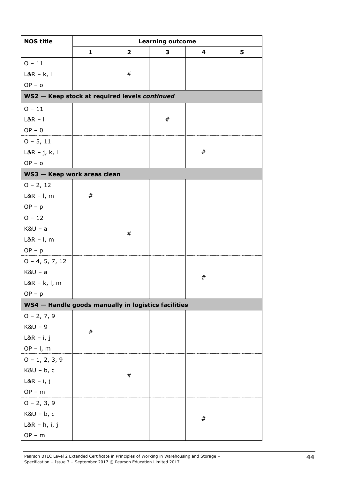| <b>NOS title</b>                                    | <b>Learning outcome</b>                       |              |   |         |   |  |  |  |  |  |  |  |
|-----------------------------------------------------|-----------------------------------------------|--------------|---|---------|---|--|--|--|--|--|--|--|
|                                                     | 1                                             | $\mathbf{2}$ | 3 | 4       | 5 |  |  |  |  |  |  |  |
| $0 - 11$                                            |                                               |              |   |         |   |  |  |  |  |  |  |  |
| $L&R - k, l$                                        |                                               | $^{\#}$      |   |         |   |  |  |  |  |  |  |  |
| $OP - o$                                            |                                               |              |   |         |   |  |  |  |  |  |  |  |
|                                                     | WS2 - Keep stock at required levels continued |              |   |         |   |  |  |  |  |  |  |  |
| $0 - 11$                                            |                                               |              |   |         |   |  |  |  |  |  |  |  |
| $L&R - I$                                           |                                               |              | # |         |   |  |  |  |  |  |  |  |
| $OP - 0$                                            |                                               |              |   |         |   |  |  |  |  |  |  |  |
| $0 - 5, 11$                                         |                                               |              |   |         |   |  |  |  |  |  |  |  |
| $L&R - j, k, l$                                     |                                               |              |   | $^{\#}$ |   |  |  |  |  |  |  |  |
| $OP - o$                                            |                                               |              |   |         |   |  |  |  |  |  |  |  |
| WS3 - Keep work areas clean                         |                                               |              |   |         |   |  |  |  |  |  |  |  |
| $0 - 2, 12$                                         |                                               |              |   |         |   |  |  |  |  |  |  |  |
| $L&R - I$ , m                                       | $^{\#}$                                       |              |   |         |   |  |  |  |  |  |  |  |
| $OP - p$                                            |                                               |              |   |         |   |  |  |  |  |  |  |  |
| $0 - 12$                                            |                                               |              |   |         |   |  |  |  |  |  |  |  |
| $K&U - a$                                           |                                               | $\#$         |   |         |   |  |  |  |  |  |  |  |
| $L&R - I$ , m                                       |                                               |              |   |         |   |  |  |  |  |  |  |  |
| $OP - p$                                            |                                               |              |   |         |   |  |  |  |  |  |  |  |
| $0 - 4, 5, 7, 12$                                   |                                               |              |   |         |   |  |  |  |  |  |  |  |
| $K8U - a$                                           |                                               |              |   | $^{\#}$ |   |  |  |  |  |  |  |  |
| $L&R - k, l, m$                                     |                                               |              |   |         |   |  |  |  |  |  |  |  |
| $OP - p$                                            |                                               |              |   |         |   |  |  |  |  |  |  |  |
| WS4 - Handle goods manually in logistics facilities |                                               |              |   |         |   |  |  |  |  |  |  |  |
| $0 - 2, 7, 9$                                       |                                               |              |   |         |   |  |  |  |  |  |  |  |
| $K&U - 9$                                           | $^{\#}$                                       |              |   |         |   |  |  |  |  |  |  |  |
| $L&R - i, j$                                        |                                               |              |   |         |   |  |  |  |  |  |  |  |
| $OP - I$ , m                                        |                                               |              |   |         |   |  |  |  |  |  |  |  |
| $0 - 1, 2, 3, 9$                                    |                                               |              |   |         |   |  |  |  |  |  |  |  |
| $K&U - b, c$                                        |                                               | $\#$         |   |         |   |  |  |  |  |  |  |  |
| $L&R - i, j$                                        |                                               |              |   |         |   |  |  |  |  |  |  |  |
| $OP - m$                                            |                                               |              |   |         |   |  |  |  |  |  |  |  |
| $0 - 2, 3, 9$                                       |                                               |              |   |         |   |  |  |  |  |  |  |  |
| $K&U - b, c$                                        |                                               |              |   | $^{\#}$ |   |  |  |  |  |  |  |  |
| $L&R - h, i, j$                                     |                                               |              |   |         |   |  |  |  |  |  |  |  |
| $OP - m$                                            |                                               |              |   |         |   |  |  |  |  |  |  |  |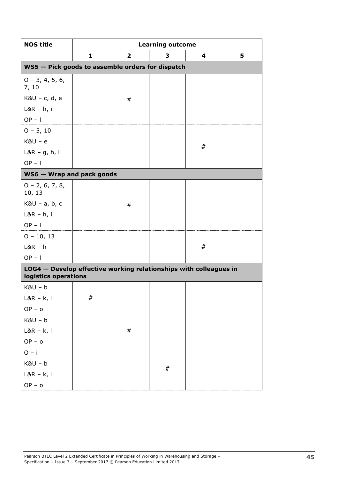| <b>NOS title</b>                                                                          | <b>Learning outcome</b> |                         |         |   |   |  |  |  |
|-------------------------------------------------------------------------------------------|-------------------------|-------------------------|---------|---|---|--|--|--|
|                                                                                           | $\mathbf{1}$            | $\overline{\mathbf{2}}$ | 3       | 4 | 5 |  |  |  |
| WS5 - Pick goods to assemble orders for dispatch                                          |                         |                         |         |   |   |  |  |  |
| $0 - 3, 4, 5, 6,$<br>7, 10                                                                |                         |                         |         |   |   |  |  |  |
| $K&U - c, d, e$                                                                           |                         | $\#$                    |         |   |   |  |  |  |
| $L&R - h, i$                                                                              |                         |                         |         |   |   |  |  |  |
| $OP - I$                                                                                  |                         |                         |         |   |   |  |  |  |
| $0 - 5, 10$                                                                               |                         |                         |         |   |   |  |  |  |
| $K8U - e$                                                                                 |                         |                         |         | # |   |  |  |  |
| $L&R-g,h,i$                                                                               |                         |                         |         |   |   |  |  |  |
| $OP - I$                                                                                  |                         |                         |         |   |   |  |  |  |
| WS6 - Wrap and pack goods                                                                 |                         |                         |         |   |   |  |  |  |
| $0 - 2, 6, 7, 8,$<br>10, 13                                                               |                         |                         |         |   |   |  |  |  |
| $K&U - a, b, c$                                                                           |                         | #                       |         |   |   |  |  |  |
| $L&R - h, i$                                                                              |                         |                         |         |   |   |  |  |  |
| $OP - I$                                                                                  |                         |                         |         |   |   |  |  |  |
| $0 - 10, 13$                                                                              |                         |                         |         |   |   |  |  |  |
| $L&R - h$                                                                                 |                         |                         |         | # |   |  |  |  |
| $OP - I$                                                                                  |                         |                         |         |   |   |  |  |  |
| LOG4 - Develop effective working relationships with colleagues in<br>logistics operations |                         |                         |         |   |   |  |  |  |
| $K8U - b$                                                                                 |                         |                         |         |   |   |  |  |  |
| $L&R - k, l$                                                                              | $\#$                    |                         |         |   |   |  |  |  |
| $OP - o$                                                                                  |                         |                         |         |   |   |  |  |  |
| $K&U - b$                                                                                 |                         |                         |         |   |   |  |  |  |
| $L&R - k, l$                                                                              |                         | $\#$                    |         |   |   |  |  |  |
| $OP - o$                                                                                  |                         |                         |         |   |   |  |  |  |
| $O - i$                                                                                   |                         |                         |         |   |   |  |  |  |
| $K&U-b$                                                                                   |                         |                         | $^{\#}$ |   |   |  |  |  |
| $L&R - k, l$                                                                              |                         |                         |         |   |   |  |  |  |
| $OP - o$                                                                                  |                         |                         |         |   |   |  |  |  |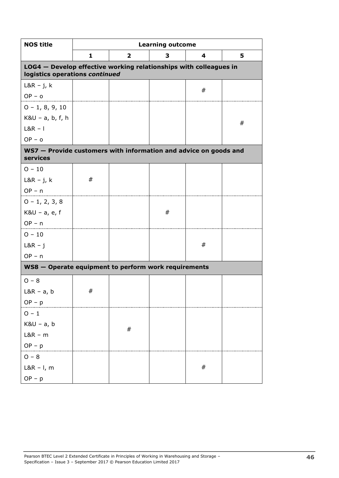| <b>NOS title</b>                                                                                    | <b>Learning outcome</b> |                         |   |      |   |  |
|-----------------------------------------------------------------------------------------------------|-------------------------|-------------------------|---|------|---|--|
|                                                                                                     | 1                       | $\overline{\mathbf{2}}$ | 3 | 4    | 5 |  |
| LOG4 - Develop effective working relationships with colleagues in<br>logistics operations continued |                         |                         |   |      |   |  |
| $L&R - j, k$                                                                                        |                         |                         |   | #    |   |  |
| $OP - o$                                                                                            |                         |                         |   |      |   |  |
| $0 - 1, 8, 9, 10$                                                                                   |                         |                         |   |      |   |  |
| $K&U - a, b, f, h$                                                                                  |                         |                         |   |      | # |  |
| $L&R - 1$                                                                                           |                         |                         |   |      |   |  |
| $OP - o$                                                                                            |                         |                         |   |      |   |  |
| WS7 - Provide customers with information and advice on goods and                                    |                         |                         |   |      |   |  |
| services                                                                                            |                         |                         |   |      |   |  |
| $O - 10$                                                                                            |                         |                         |   |      |   |  |
| $L&R - j, k$                                                                                        | #                       |                         |   |      |   |  |
| $OP - n$                                                                                            |                         |                         |   |      |   |  |
| $0 - 1, 2, 3, 8$                                                                                    |                         |                         |   |      |   |  |
| $K&U - a, e, f$                                                                                     |                         |                         | # |      |   |  |
| $OP - n$                                                                                            |                         |                         |   |      |   |  |
| $0 - 10$                                                                                            |                         |                         |   |      |   |  |
| $L&R - j$                                                                                           |                         |                         |   | #    |   |  |
| $OP - n$                                                                                            |                         |                         |   |      |   |  |
| WS8 - Operate equipment to perform work requirements                                                |                         |                         |   |      |   |  |
| $O - 8$                                                                                             |                         |                         |   |      |   |  |
| $L&R - a, b$                                                                                        | #                       |                         |   |      |   |  |
| $OP - p$                                                                                            |                         |                         |   |      |   |  |
| $0 - 1$                                                                                             |                         |                         |   |      |   |  |
| K&U - a, b                                                                                          |                         |                         |   |      |   |  |
| $L&R - m$                                                                                           |                         | #                       |   |      |   |  |
| $OP - p$                                                                                            |                         |                         |   |      |   |  |
| $O - 8$                                                                                             |                         |                         |   |      |   |  |
| $L&R - I$ , m                                                                                       |                         |                         |   | $\#$ |   |  |
| $OP - p$                                                                                            |                         |                         |   |      |   |  |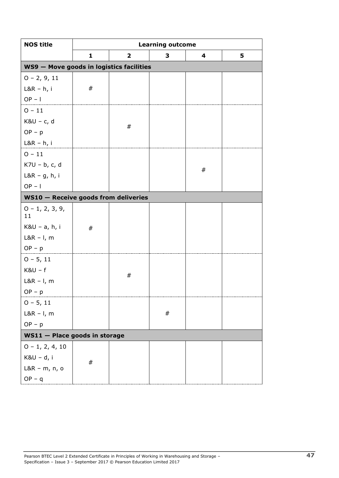| <b>NOS title</b>                         | <b>Learning outcome</b> |                         |         |   |   |  |
|------------------------------------------|-------------------------|-------------------------|---------|---|---|--|
|                                          | 1                       | $\overline{\mathbf{2}}$ | 3       | 4 | 5 |  |
| WS9 - Move goods in logistics facilities |                         |                         |         |   |   |  |
| $0 - 2, 9, 11$                           |                         |                         |         |   |   |  |
| $L&R - h, i$                             | #                       |                         |         |   |   |  |
| $OP - I$                                 |                         |                         |         |   |   |  |
| $0 - 11$                                 |                         |                         |         |   |   |  |
| $K&U - c, d$                             |                         | $\#$                    |         |   |   |  |
| $OP - p$                                 |                         |                         |         |   |   |  |
| $L&R - h, i$                             |                         |                         |         |   |   |  |
| $0 - 11$                                 |                         |                         |         |   |   |  |
| K7U - b, c, d                            |                         |                         |         | # |   |  |
| $L&R-g,h,i$                              |                         |                         |         |   |   |  |
| $OP - I$                                 |                         |                         |         |   |   |  |
| WS10 - Receive goods from deliveries     |                         |                         |         |   |   |  |
| $0 - 1, 2, 3, 9,$<br>11                  |                         |                         |         |   |   |  |
| K&U - a, h, i                            | #                       |                         |         |   |   |  |
| $L&R - I$ , m                            |                         |                         |         |   |   |  |
| $OP - p$                                 |                         |                         |         |   |   |  |
| $0 - 5, 11$                              |                         |                         |         |   |   |  |
| $K&U - f$                                |                         | $\#$                    |         |   |   |  |
| $L&R - I$ , m                            |                         |                         |         |   |   |  |
| $OP - p$                                 |                         |                         |         |   |   |  |
| $0 - 5, 11$                              |                         |                         |         |   |   |  |
| $L&R - I$ , m                            |                         |                         | $^{\#}$ |   |   |  |
| $OP - p$                                 |                         |                         |         |   |   |  |
| WS11 - Place goods in storage            |                         |                         |         |   |   |  |
| $0 - 1, 2, 4, 10$                        |                         |                         |         |   |   |  |
| $K&U-d, i$                               | $^{\#}$                 |                         |         |   |   |  |
| L&R - m, n, o                            |                         |                         |         |   |   |  |
| $OP - q$                                 |                         |                         |         |   |   |  |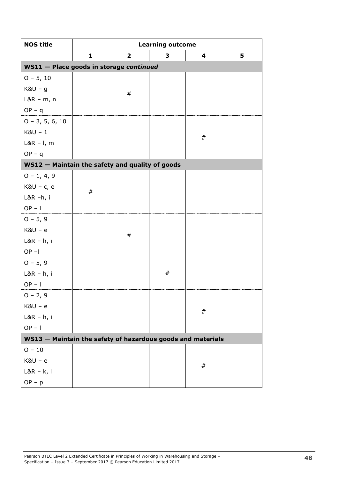| <b>NOS title</b>                                            | <b>Learning outcome</b>                 |                         |   |      |   |  |  |
|-------------------------------------------------------------|-----------------------------------------|-------------------------|---|------|---|--|--|
|                                                             | 1                                       | $\overline{\mathbf{2}}$ | 3 | 4    | 5 |  |  |
|                                                             | WS11 - Place goods in storage continued |                         |   |      |   |  |  |
| $0 - 5, 10$                                                 |                                         |                         |   |      |   |  |  |
| $K&U-g$                                                     |                                         | #                       |   |      |   |  |  |
| $L&R - m, n$                                                |                                         |                         |   |      |   |  |  |
| $OP - q$                                                    |                                         |                         |   |      |   |  |  |
| $0 - 3, 5, 6, 10$                                           |                                         |                         |   |      |   |  |  |
| $K8U - 1$                                                   |                                         |                         |   | #    |   |  |  |
| $L&R - I$ , m                                               |                                         |                         |   |      |   |  |  |
| $OP - q$                                                    |                                         |                         |   |      |   |  |  |
| WS12 - Maintain the safety and quality of goods             |                                         |                         |   |      |   |  |  |
| $0 - 1, 4, 9$                                               |                                         |                         |   |      |   |  |  |
| $K&U - c, e$                                                | #                                       |                         |   |      |   |  |  |
| $L&R-h, i$                                                  |                                         |                         |   |      |   |  |  |
| $OP - I$                                                    |                                         |                         |   |      |   |  |  |
| $0 - 5, 9$                                                  |                                         |                         |   |      |   |  |  |
| $K8U - e$                                                   |                                         | $\#$                    |   |      |   |  |  |
| $L&R - h, i$                                                |                                         |                         |   |      |   |  |  |
| $OP - I$                                                    |                                         |                         |   |      |   |  |  |
| $0 - 5, 9$                                                  |                                         |                         |   |      |   |  |  |
| $L&R - h, i$                                                |                                         |                         | # |      |   |  |  |
| $OP - I$                                                    |                                         |                         |   |      |   |  |  |
| $0 - 2, 9$                                                  |                                         |                         |   |      |   |  |  |
| $K&U - e$                                                   |                                         |                         |   | $\#$ |   |  |  |
| $L&R - h, i$                                                |                                         |                         |   |      |   |  |  |
| $OP - I$                                                    |                                         |                         |   |      |   |  |  |
| WS13 - Maintain the safety of hazardous goods and materials |                                         |                         |   |      |   |  |  |
| $O - 10$                                                    |                                         |                         |   |      |   |  |  |
| $K8U - e$                                                   |                                         |                         |   | #    |   |  |  |
| $L&R - k, l$                                                |                                         |                         |   |      |   |  |  |
| $OP - p$                                                    |                                         |                         |   |      |   |  |  |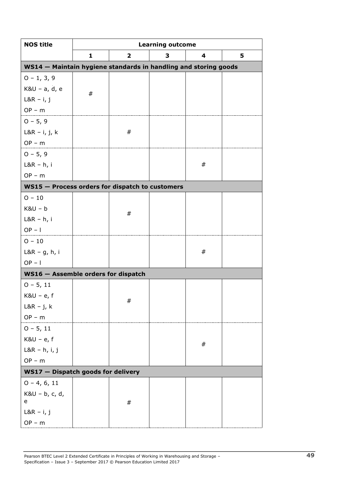| <b>NOS title</b>                                                | <b>Learning outcome</b> |                         |   |         |   |  |
|-----------------------------------------------------------------|-------------------------|-------------------------|---|---------|---|--|
|                                                                 | 1                       | $\overline{\mathbf{2}}$ | 3 | 4       | 5 |  |
| WS14 - Maintain hygiene standards in handling and storing goods |                         |                         |   |         |   |  |
| $0 - 1, 3, 9$                                                   |                         |                         |   |         |   |  |
| K&U - a, d, e                                                   | #                       |                         |   |         |   |  |
| $L&R - i, j$                                                    |                         |                         |   |         |   |  |
| $OP - m$                                                        |                         |                         |   |         |   |  |
| $0 - 5, 9$                                                      |                         |                         |   |         |   |  |
| L&R $-$ i, j, k                                                 |                         | #                       |   |         |   |  |
| $OP - m$                                                        |                         |                         |   |         |   |  |
| $0 - 5, 9$                                                      |                         |                         |   |         |   |  |
| $L&R - h, i$                                                    |                         |                         |   | #       |   |  |
| $OP - m$                                                        |                         |                         |   |         |   |  |
| WS15 - Process orders for dispatch to customers                 |                         |                         |   |         |   |  |
| $O - 10$                                                        |                         |                         |   |         |   |  |
| $K8U - b$                                                       |                         | #                       |   |         |   |  |
| $L&R - h, i$                                                    |                         |                         |   |         |   |  |
| $OP - I$                                                        |                         |                         |   |         |   |  |
| $O - 10$                                                        |                         |                         |   |         |   |  |
| $L&R - g$ , h, i                                                |                         |                         |   | $^{\#}$ |   |  |
| $OP - I$                                                        |                         |                         |   |         |   |  |
| WS16 - Assemble orders for dispatch                             |                         |                         |   |         |   |  |
| $0 - 5, 11$                                                     |                         |                         |   |         |   |  |
| $K&U - e, f$                                                    |                         | #                       |   |         |   |  |
| $L&R - j, k$                                                    |                         |                         |   |         |   |  |
| $OP - m$                                                        |                         |                         |   |         |   |  |
| $0 - 5, 11$                                                     |                         |                         |   |         |   |  |
| $K&U - e, f$                                                    |                         |                         |   | $^{\#}$ |   |  |
| $L&R - h, i, j$                                                 |                         |                         |   |         |   |  |
| $OP - m$                                                        |                         |                         |   |         |   |  |
| WS17 - Dispatch goods for delivery                              |                         |                         |   |         |   |  |
| $0 - 4, 6, 11$                                                  |                         |                         |   |         |   |  |
| K&U - b, c, d,<br>e                                             |                         | #                       |   |         |   |  |
| $L&R - i, j$                                                    |                         |                         |   |         |   |  |
| $OP - m$                                                        |                         |                         |   |         |   |  |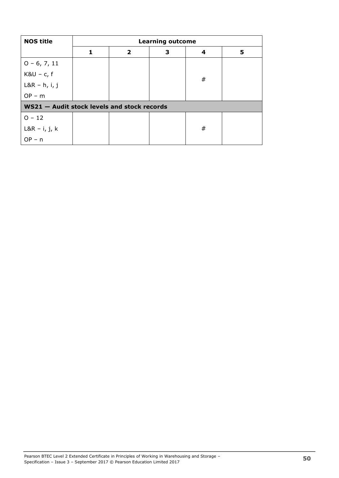| <b>NOS title</b>                            | <b>Learning outcome</b> |              |   |   |   |  |
|---------------------------------------------|-------------------------|--------------|---|---|---|--|
|                                             | 1                       | $\mathbf{2}$ | 3 | 4 | 5 |  |
| $0 - 6, 7, 11$                              |                         |              |   |   |   |  |
| $K&U - c, f$                                |                         |              |   | # |   |  |
| $L&R - h, i, j$                             |                         |              |   |   |   |  |
| $OP - m$                                    |                         |              |   |   |   |  |
| WS21 - Audit stock levels and stock records |                         |              |   |   |   |  |
| $O - 12$                                    |                         |              |   |   |   |  |
| $L&R - i, j, k$                             |                         |              |   | # |   |  |
| $OP - n$                                    |                         |              |   |   |   |  |